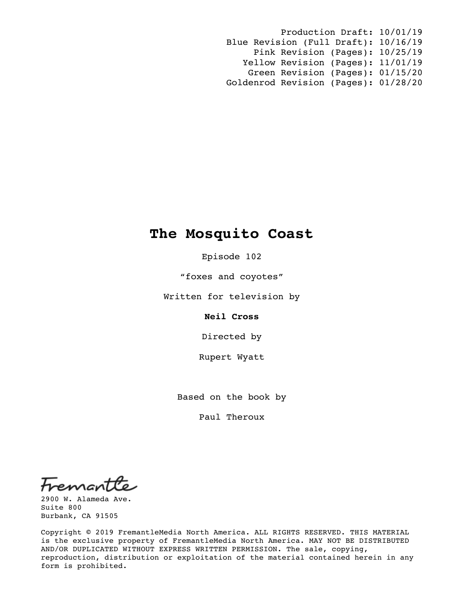Production Draft: 10/01/19 Blue Revision (Full Draft): 10/16/19 Pink Revision (Pages): 10/25/19 Yellow Revision (Pages): 11/01/19 Green Revision (Pages): 01/15/20 Goldenrod Revision (Pages): 01/28/20

# **The Mosquito Coast**

Episode 102

"foxes and coyotes"

Written for television by

**Neil Cross**

Directed by

Rupert Wyatt

Based on the book by

Paul Theroux

Fremant

2900 W. Alameda Ave. Suite 800 Burbank, CA 91505

Copyright © 2019 FremantleMedia North America. ALL RIGHTS RESERVED. THIS MATERIAL is the exclusive property of FremantleMedia North America. MAY NOT BE DISTRIBUTED AND/OR DUPLICATED WITHOUT EXPRESS WRITTEN PERMISSION. The sale, copying, reproduction, distribution or exploitation of the material contained herein in any form is prohibited.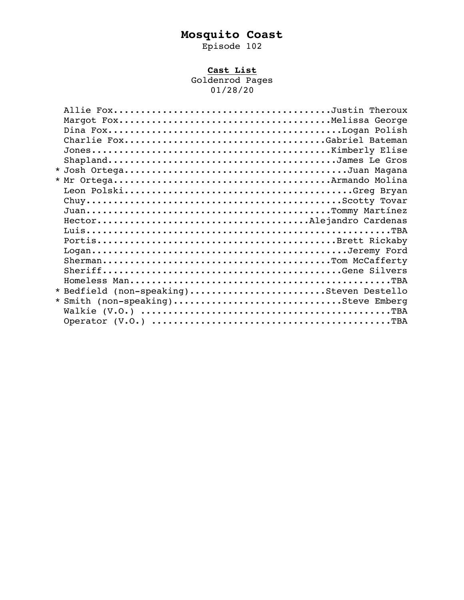# **Mosquito Coast**

Episode 102

# **Cast List**

Goldenrod Pages 01/28/20

| Charlie FoxGabriel Bateman               |
|------------------------------------------|
|                                          |
|                                          |
|                                          |
|                                          |
|                                          |
|                                          |
|                                          |
|                                          |
|                                          |
|                                          |
|                                          |
|                                          |
|                                          |
|                                          |
| * Bedfield (non-speaking)Steven Destello |
| * Smith (non-speaking)Steve Emberg       |
|                                          |
|                                          |
|                                          |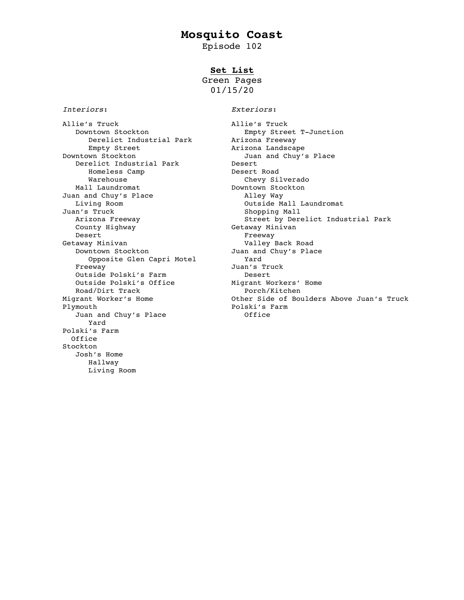# **Mosquito Coast**

Episode 102

# **Set List**

Green Pages 01/15/20

*Interiors*: *Exteriors*:

Allie's Truck<br>Downtown Stockton The Super County Street T-Junction Downtown Stockton Empty Street T-Junction Derelict Industrial Park Manizona Freeway Empty Street **Arizona Landscape** Downtown Stockton Juan and Chuy's Place Derelict Industrial Park Desert Homeless Camp and Desert Road Warehouse **Chevy Silverado** Mall Laundromat **Downtown** Stockton Juan and Chuy's Place **Alley Way** Living Room and the Court of Course of Course of Course of Course of Course of Course of Course of Course of Co<br>
Shopping Mall an's Truck Shopping Mall<br>Arizona Freeway Marizona Street by Dere County Highway Desert Ereeway Minivan Controller State of the Breeway Section of the Breeway Section 1 and 20 and 20 and 20 and 20 and 20 and 20 and 20 and 20 and 20 and 20 and 20 and 20 and 20 and 20 and 20 and 20 and 20 and 20 and 20 a Downtown Stockton Juan and Chuy's Place Opposite Glen Capri Motel Yard Opposite Glen Capri Motel Motel Freeway Juan's Truck<br>
Outside Polski's Farm Desert Desert Outside Polski's Farm **Desert** Outside Polski's Office Migrant Workers' Home Road/Dirt Track extended that Porch/Kitchen Plymouth Polski's Farm Juan and Chuy's Place **Office**  Yard Polski's Farm Office Stockton Josh's Home Hallway Living Room

Street by Derelict Industrial Park<br>Getaway Minivan Valley Back Road Migrant Worker's Home Other Side of Boulders Above Juan's Truck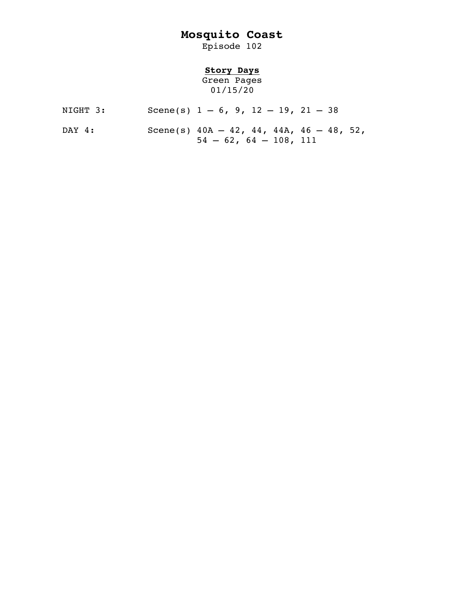# **Mosquito Coast**

Episode 102

# **Story Days**

Green Pages 01/15/20

- NIGHT 3: Scene(s)  $1 6$ ,  $9$ ,  $12 19$ ,  $21 38$
- DAY 4: Scene(s) 40A 42, 44, 44A, 46 48, 52,  $54 - 62, 64 - 108, 111$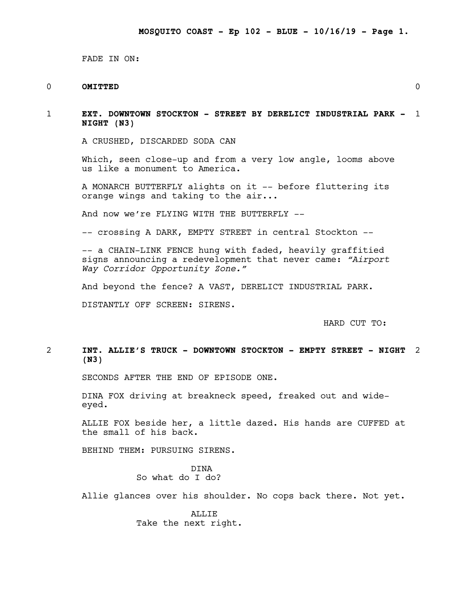FADE IN ON:

# 0 **OMITTED** 0

1 **EXT. DOWNTOWN STOCKTON - STREET BY DERELICT INDUSTRIAL PARK -** 1 **NIGHT (N3)**

A CRUSHED, DISCARDED SODA CAN

Which, seen close-up and from a very low angle, looms above us like a monument to America.

A MONARCH BUTTERFLY alights on it -- before fluttering its orange wings and taking to the air...

And now we're FLYING WITH THE BUTTERFLY --

-- crossing A DARK, EMPTY STREET in central Stockton --

-- a CHAIN-LINK FENCE hung with faded, heavily graffitied signs announcing a redevelopment that never came: *"Airport Way Corridor Opportunity Zone."*

And beyond the fence? A VAST, DERELICT INDUSTRIAL PARK.

DISTANTLY OFF SCREEN: SIRENS.

HARD CUT TO:

# 2 **INT. ALLIE'S TRUCK - DOWNTOWN STOCKTON - EMPTY STREET - NIGHT** 2 **(N3)**

SECONDS AFTER THE END OF EPISODE ONE.

DINA FOX driving at breakneck speed, freaked out and wide-<br>eyed.

ALLIE FOX beside her, a little dazed. His hands are CUFFED at the small of his back.

BEHIND THEM: PURSUING SIRENS.

DINA So what do I do?

Allie glances over his shoulder. No cops back there. Not yet.

ALLIE Take the next right.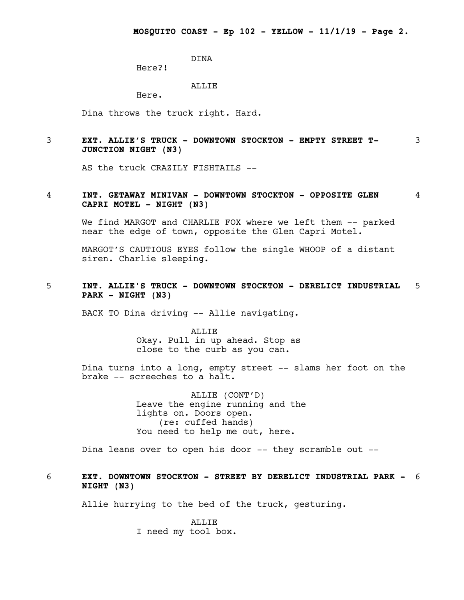DINA

Here?!

# ALLIE

Here.

Dina throws the truck right. Hard.

# 3 **EXT. ALLIE'S TRUCK - DOWNTOWN STOCKTON - EMPTY STREET T-** 3 **JUNCTION NIGHT (N3)**

AS the truck CRAZILY FISHTAILS --

# 4 **INT. GETAWAY MINIVAN - DOWNTOWN STOCKTON - OPPOSITE GLEN** 4 **CAPRI MOTEL - NIGHT (N3)**

We find MARGOT and CHARLIE FOX where we left them -- parked near the edge of town, opposite the Glen Capri Motel.

MARGOT'S CAUTIOUS EYES follow the single WHOOP of a distant siren. Charlie sleeping.

5 **INT. ALLIE'S TRUCK - DOWNTOWN STOCKTON - DERELICT INDUSTRIAL** 5 **PARK - NIGHT (N3)**

BACK TO Dina driving -- Allie navigating.

ALLIE Okay. Pull in up ahead. Stop as close to the curb as you can.

Dina turns into a long, empty street -- slams her foot on the brake -- screeches to a halt.

> ALLIE (CONT'D) Leave the engine running and the lights on. Doors open. (re: cuffed hands) You need to help me out, here.

Dina leans over to open his door -- they scramble out --

# 6 **EXT. DOWNTOWN STOCKTON - STREET BY DERELICT INDUSTRIAL PARK -** 6 **NIGHT (N3)**

Allie hurrying to the bed of the truck, gesturing.

ALLIE I need my tool box.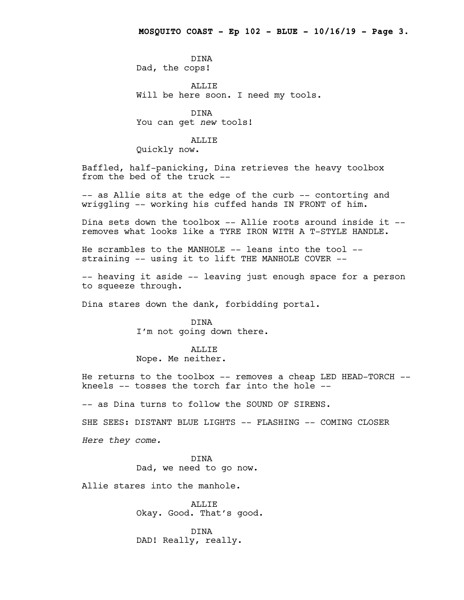DINA Dad, the cops!

ALLIE Will be here soon. I need my tools.

DINA You can get *new* tools!

#### ALLIE

Quickly now.

Baffled, half-panicking, Dina retrieves the heavy toolbox from the bed of the truck --

-- as Allie sits at the edge of the curb -- contorting and wriggling -- working his cuffed hands IN FRONT of him.

Dina sets down the toolbox -- Allie roots around inside it - removes what looks like a TYRE IRON WITH A T-STYLE HANDLE.

He scrambles to the MANHOLE -- leans into the tool - straining -- using it to lift THE MANHOLE COVER --

-- heaving it aside -- leaving just enough space for a person to squeeze through.

Dina stares down the dank, forbidding portal.

### DINA

I'm not going down there.

#### ALLIE

Nope. Me neither.

He returns to the toolbox -- removes a cheap LED HEAD-TORCH -kneels -- tosses the torch far into the hole --

-- as Dina turns to follow the SOUND OF SIRENS.

SHE SEES: DISTANT BLUE LIGHTS -- FLASHING -- COMING CLOSER

*Here they come.*

DINA Dad, we need to go now.

Allie stares into the manhole.

ALLIE Okay. Good. That's good.

DINA DAD! Really, really.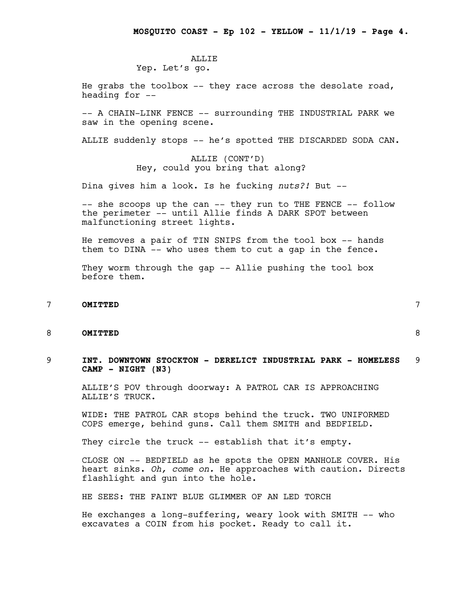#### ALLIE Yep. Let's go.

He grabs the toolbox -- they race across the desolate road, heading for --

-- A CHAIN-LINK FENCE -- surrounding THE INDUSTRIAL PARK we saw in the opening scene.

ALLIE suddenly stops -- he's spotted THE DISCARDED SODA CAN.

# ALLIE (CONT'D) Hey, could you bring that along?

Dina gives him a look. Is he fucking *nuts?!* But --

-- she scoops up the can -- they run to THE FENCE -- follow the perimeter -- until Allie finds A DARK SPOT between malfunctioning street lights.

He removes a pair of TIN SNIPS from the tool box -- hands them to DINA -- who uses them to cut a gap in the fence.

They worm through the gap -- Allie pushing the tool box before them.

# 7 **OMITTED** 7

8 **OMITTED** 8

9 **INT. DOWNTOWN STOCKTON - DERELICT INDUSTRIAL PARK - HOMELESS** 9 **CAMP - NIGHT (N3)**

ALLIE'S POV through doorway: A PATROL CAR IS APPROACHING ALLIE'S TRUCK.

WIDE: THE PATROL CAR stops behind the truck. TWO UNIFORMED COPS emerge, behind guns. Call them SMITH and BEDFIELD.

They circle the truck -- establish that it's empty.

CLOSE ON -- BEDFIELD as he spots the OPEN MANHOLE COVER. His heart sinks. *Oh, come on.* He approaches with caution. Directs flashlight and gun into the hole.

HE SEES: THE FAINT BLUE GLIMMER OF AN LED TORCH

He exchanges a long-suffering, weary look with SMITH -- who excavates a COIN from his pocket. Ready to call it.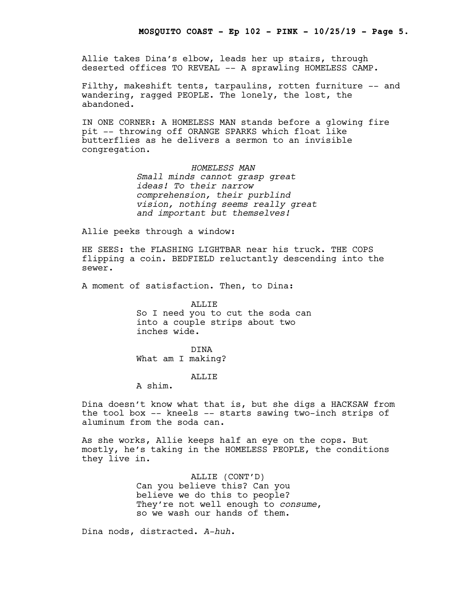Allie takes Dina's elbow, leads her up stairs, through deserted offices TO REVEAL -- A sprawling HOMELESS CAMP.

Filthy, makeshift tents, tarpaulins, rotten furniture -- and wandering, ragged PEOPLE. The lonely, the lost, the abandoned.

IN ONE CORNER: A HOMELESS MAN stands before a glowing fire pit -- throwing off ORANGE SPARKS which float like butterflies as he delivers a sermon to an invisible congregation.

> *HOMELESS MAN Small minds cannot grasp great ideas! To their narrow comprehension, their purblind vision, nothing seems really great and important but themselves!*

Allie peeks through a window:

HE SEES: the FLASHING LIGHTBAR near his truck. THE COPS flipping a coin. BEDFIELD reluctantly descending into the sewer.

A moment of satisfaction. Then, to Dina:

ALLIE So I need you to cut the soda can into a couple strips about two inches wide.

DINA What am I making?

#### **ALLIF**

A shim.

Dina doesn't know what that is, but she digs a HACKSAW from the tool box -- kneels -- starts sawing two-inch strips of aluminum from the soda can.

As she works, Allie keeps half an eye on the cops. But mostly, he's taking in the HOMELESS PEOPLE, the conditions they live in.

> ALLIE (CONT'D) Can you believe this? Can you believe we do this to people? They're not well enough to *consume*, so we wash our hands of them.

Dina nods, distracted. *A-huh*.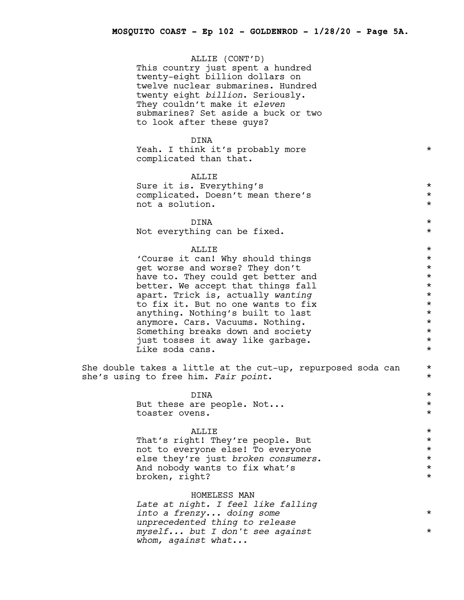ALLIE (CONT'D) This country just spent a hundred twenty-eight billion dollars on twelve nuclear submarines. Hundred twenty eight *billion*. Seriously. They couldn't make it *eleven* submarines? Set aside a buck or two to look after these guys?

#### DINA

Yeah. I think it's probably more  $*$ complicated than that.

# ALLIE

Sure it is. Everything's  $\star$ complicated. Doesn't mean there's \* not a solution.  $\star$ 

 $\tt DINA$   $*$ 

Not everything can be fixed.  $*$ 

# $\blacksquare$

'Course it can! Why should things<br>
ret worse and worse? They don't get worse and worse? They don't<br>have to. They could get better and \* \* \* \* \* have to. They could get better and  $\star$ <br>better, We accept that things fall  $\star$ better. We accept that things fall  $\star$ <br>apart. Trick is, actually wanting apart. Trick is, actually *wanting*<br>
to fix it. But no one wants to fix \* \* \* \* to fix it. But no one wants to fix  $\star$ <br>
anything. Nothing's built to last  $\star$ anything. Nothing's built to last  $\star$ <br>anymore. Cars. Vacuums. Nothing.  $\star$ anymore. Cars. Vacuums. Nothing.  $\star$ <br>Something breaks down and society  $\star$ Something breaks down and society just tosses it away like garbage. \* Like soda cans.

She double takes a little at the cut-up, repurposed soda can  $*$ she's using to free him. *Fair point*. \*

> $\tt DINA$   $*$ But these are people. Not...<br>
> toaster ovens. toaster ovens.

# $\blacksquare$

That's right! They're people. But  $\star$ <br>not to everyone else! To everyone  $\star$ not to everyone else! To everyone<br>else they're just *broken consumers*. else they're just *broken consumers*. \* And nobody wants to fix what's broken, right? \*

#### HOMELESS MAN

*Late at night. I feel like falling into a frenzy... doing some* \* *unprecedented thing to release myself... but I don't see against* \* *whom, against what...*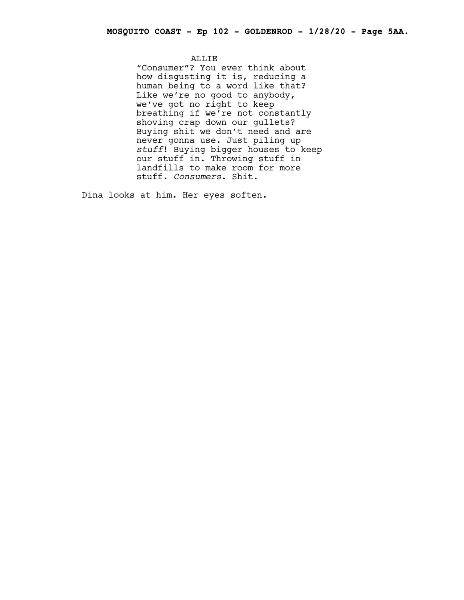ALLIE

"Consumer"? You ever think about how disgusting it is, reducing a human being to a word like that? Like we're no good to anybody, we've got no right to keep breathing if we're not constantly shoving crap down our gullets? Buying shit we don't need and are never gonna use. Just piling up *stuff*! Buying bigger houses to keep our stuff in. Throwing stuff in landfills to make room for more stuff. *Consumers*. Shit.

Dina looks at him. Her eyes soften.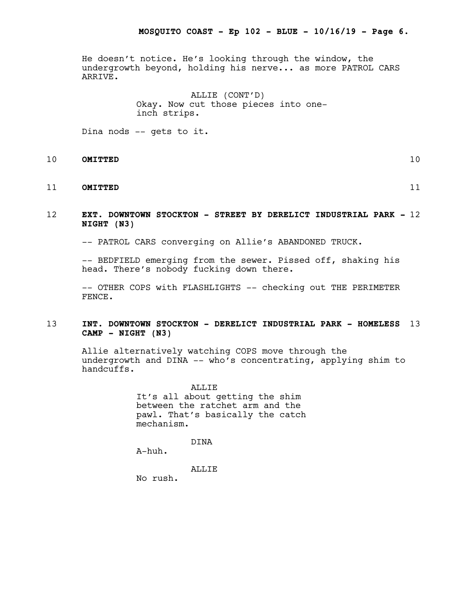He doesn't notice. He's looking through the window, the undergrowth beyond, holding his nerve... as more PATROL CARS ARRIVE.

> ALLIE (CONT'D) Okay. Now cut those pieces into oneinch strips.

Dina nods -- gets to it.

# 10 **OMITTED** 10

# 11 **OMITTED** 11

# 12 **EXT. DOWNTOWN STOCKTON - STREET BY DERELICT INDUSTRIAL PARK -** 12 **NIGHT (N3)**

-- PATROL CARS converging on Allie's ABANDONED TRUCK.

-- BEDFIELD emerging from the sewer. Pissed off, shaking his head. There's nobody fucking down there.

-- OTHER COPS with FLASHLIGHTS -- checking out THE PERIMETER FENCE.

# 13 **INT. DOWNTOWN STOCKTON - DERELICT INDUSTRIAL PARK - HOMELESS** 13 **CAMP - NIGHT (N3)**

Allie alternatively watching COPS move through the undergrowth and DINA -- who's concentrating, applying shim to handcuffs.

> ALLIE It's all about getting the shim between the ratchet arm and the pawl. That's basically the catch mechanism.

> > DINA

A-huh.

ALLIE

No rush.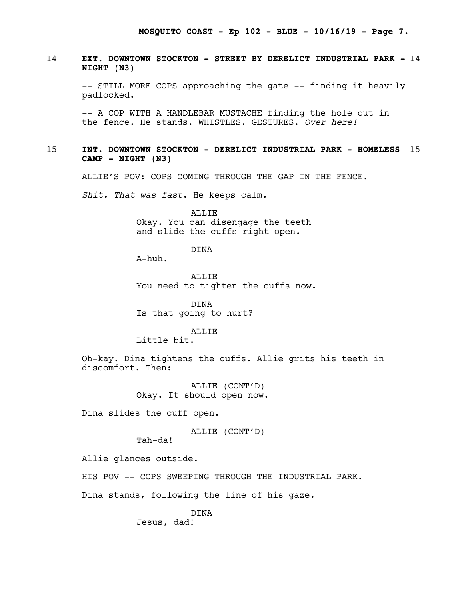# 14 **EXT. DOWNTOWN STOCKTON - STREET BY DERELICT INDUSTRIAL PARK -** 14 **NIGHT (N3)**

-- STILL MORE COPS approaching the gate -- finding it heavily padlocked.

-- A COP WITH A HANDLEBAR MUSTACHE finding the hole cut in the fence. He stands. WHISTLES. GESTURES. *Over here!*

# 15 **INT. DOWNTOWN STOCKTON - DERELICT INDUSTRIAL PARK - HOMELESS** 15 **CAMP - NIGHT (N3)**

ALLIE'S POV: COPS COMING THROUGH THE GAP IN THE FENCE.

*Shit. That was fast*. He keeps calm.

ALLIE Okay. You can disengage the teeth and slide the cuffs right open.

DINA

A-huh.

ALLIF. You need to tighten the cuffs now.

DINA Is that going to hurt?

#### ALLIE

Little bit.

Oh-kay. Dina tightens the cuffs. Allie grits his teeth in discomfort. Then:

> ALLIE (CONT'D) Okay. It should open now.

Dina slides the cuff open.

# ALLIE (CONT'D)

Tah-da!

Allie glances outside.

HIS POV -- COPS SWEEPING THROUGH THE INDUSTRIAL PARK.

Dina stands, following the line of his gaze.

DINA Jesus, dad!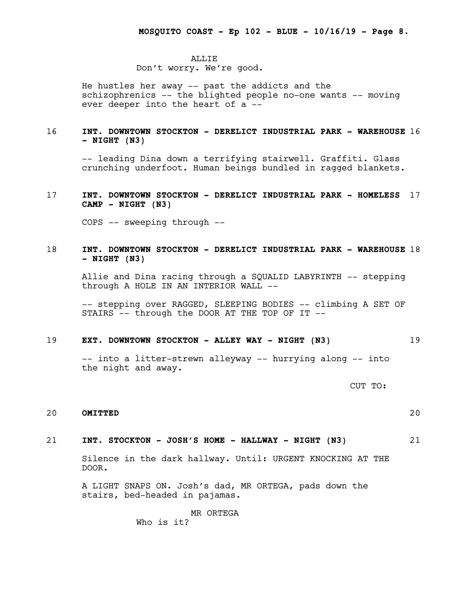#### ALLIE

#### Don't worry. We're good.

He hustles her away -- past the addicts and the schizophrenics -- the blighted people no-one wants -- moving ever deeper into the heart of a --

# 16 **INT. DOWNTOWN STOCKTON - DERELICT INDUSTRIAL PARK - WAREHOUSE** 16 **- NIGHT (N3)**

-- leading Dina down a terrifying stairwell. Graffiti. Glass crunching underfoot. Human beings bundled in ragged blankets.

# 17 **INT. DOWNTOWN STOCKTON - DERELICT INDUSTRIAL PARK - HOMELESS** 17 **CAMP - NIGHT (N3)**

COPS -- sweeping through --

# 18 **INT. DOWNTOWN STOCKTON - DERELICT INDUSTRIAL PARK - WAREHOUSE** 18 **- NIGHT (N3)**

Allie and Dina racing through a SQUALID LABYRINTH -- stepping through A HOLE IN AN INTERIOR WALL --

-- stepping over RAGGED, SLEEPING BODIES -- climbing A SET OF STAIRS -- through the DOOR AT THE TOP OF IT --

#### 19 **EXT. DOWNTOWN STOCKTON - ALLEY WAY - NIGHT (N3)** 19

-- into a litter-strewn alleyway -- hurrying along -- into the night and away.

CUT TO:

# 20 **OMITTED** 20

#### 21 **INT. STOCKTON - JOSH'S HOME - HALLWAY - NIGHT (N3)** 21

Silence in the dark hallway. Until: URGENT KNOCKING AT THE DOOR.

A LIGHT SNAPS ON. Josh's dad, MR ORTEGA, pads down the stairs, bed-headed in pajamas.

# MR ORTEGA

Who is it?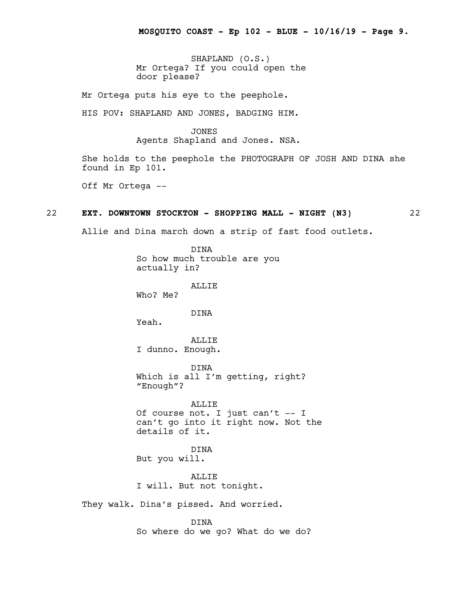SHAPLAND (O.S.) Mr Ortega? If you could open the door please?

Mr Ortega puts his eye to the peephole.

HIS POV: SHAPLAND AND JONES, BADGING HIM.

#### JONES

Agents Shapland and Jones. NSA.

She holds to the peephole the PHOTOGRAPH OF JOSH AND DINA she found in Ep 101.

Off Mr Ortega --

# 22 **EXT. DOWNTOWN STOCKTON - SHOPPING MALL - NIGHT (N3)** 22

Allie and Dina march down a strip of fast food outlets.

DINA So how much trouble are you actually in?

ALLIE

Who? Me?

DINA

Yeah.

ALLIE I dunno. Enough.

DINA Which is all I'm getting, right? "Enough"?

ALLIE Of course not. I just can't -- I can't go into it right now. Not the details of it.

DINA But you will.

ALLIE I will. But not tonight.

They walk. Dina's pissed. And worried.

DINA So where do we go? What do we do?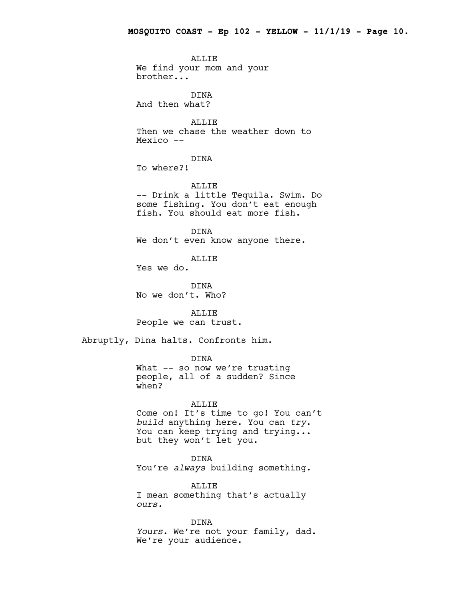ALLIE We find your mom and your brother...

DINA And then what?

ALLIE Then we chase the weather down to Mexico --

DINA

To where?!

ALLIE

-- Drink a little Tequila. Swim. Do some fishing. You don't eat enough fish. You should eat more fish.

DINA We don't even know anyone there.

ALLIE

Yes we do.

DINA No we don't. Who?

ALLIE People we can trust.

Abruptly, Dina halts. Confronts him.

DINA

What -- so now we're trusting people, all of a sudden? Since when?

#### ALLIE

Come on! It's time to go! You can't *build* anything here. You can *try*. You can keep trying and trying... but they won't let you.

DINA

You're *always* building something.

ALLIE

I mean something that's actually *ours.*

DINA *Yours*. We're not your family, dad. We're your audience.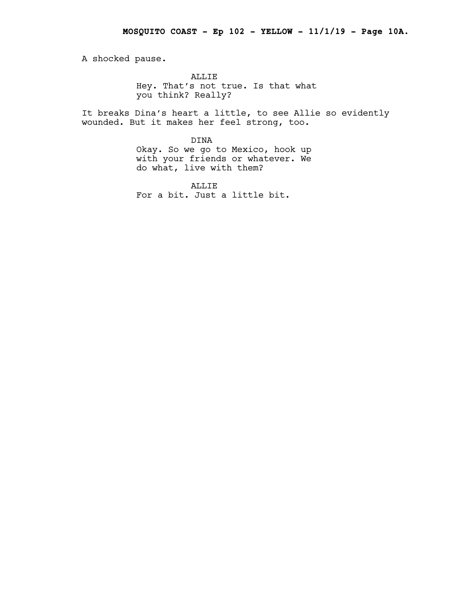A shocked pause.

ALLIE Hey. That's not true. Is that what you think? Really?

It breaks Dina's heart a little, to see Allie so evidently wounded. But it makes her feel strong, too.

> DINA Okay. So we go to Mexico, hook up with your friends or whatever. We do what, live with them?

ALLIE For a bit. Just a little bit.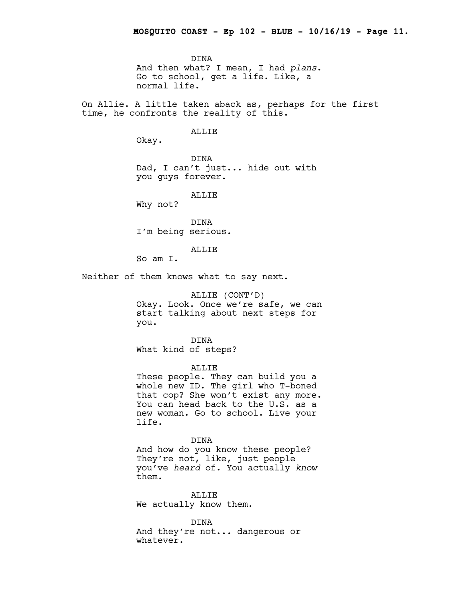DINA And then what? I mean, I had *plans*. Go to school, get a life. Like, a normal life.

On Allie. A little taken aback as, perhaps for the first time, he confronts the reality of this.

#### ALLIE

Okay.

DINA Dad, I can't just... hide out with you guys forever.

ALLIE

Why not?

DINA I'm being serious.

ALLIE

So am I.

Neither of them knows what to say next.

ALLIE (CONT'D) Okay. Look. Once we're safe, we can start talking about next steps for you.

DINA What kind of steps?

ALLIE

These people. They can build you a whole new ID. The girl who T-boned that cop? She won't exist any more. You can head back to the U.S. as a new woman. Go to school. Live your life.

# DINA

And how do you know these people? They're not, like, just people you've *heard* of. You actually *know* them.

ALLIE We actually know them.

DINA And they're not... dangerous or whatever.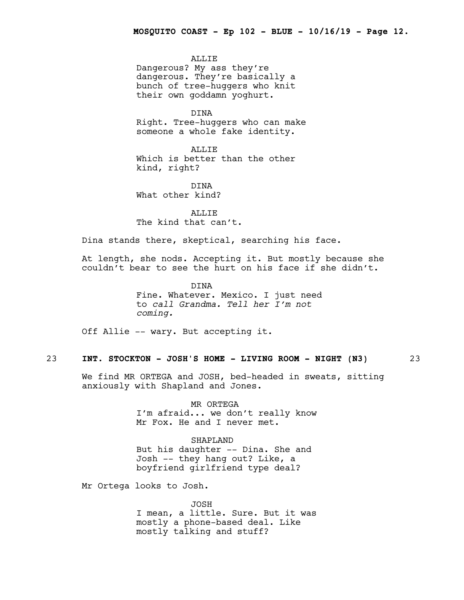ALLIE Dangerous? My ass they're dangerous. They're basically a bunch of tree-huggers who knit their own goddamn yoghurt.

DINA Right. Tree-huggers who can make someone a whole fake identity.

ALLIE Which is better than the other kind, right?

DINA What other kind?

ALLIE The kind that can't.

Dina stands there, skeptical, searching his face.

At length, she nods. Accepting it. But mostly because she couldn't bear to see the hurt on his face if she didn't.

> DINA Fine. Whatever. Mexico. I just need to *call Grandma. Tell her I'm not coming.*

Off Allie -- wary. But accepting it.

# 23 **INT. STOCKTON - JOSH'S HOME - LIVING ROOM - NIGHT (N3)** 23

We find MR ORTEGA and JOSH, bed-headed in sweats, sitting anxiously with Shapland and Jones.

> MR ORTEGA I'm afraid... we don't really know Mr Fox. He and I never met.

SHAPLAND But his daughter -- Dina. She and Josh -- they hang out? Like, a boyfriend girlfriend type deal?

Mr Ortega looks to Josh.

JOSH I mean, a little. Sure. But it was mostly a phone-based deal. Like mostly talking and stuff?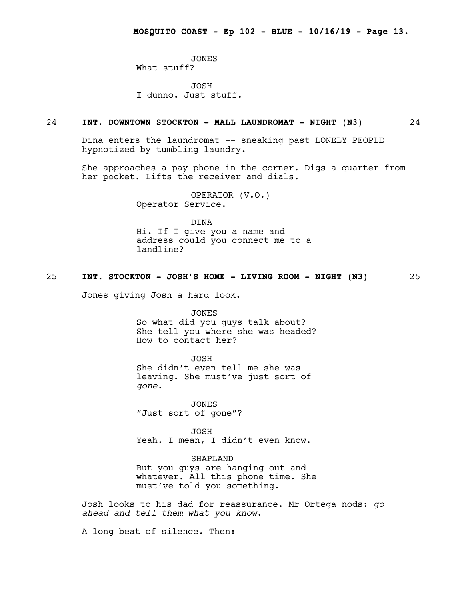JONES What stuff?

JOSH I dunno. Just stuff.

#### 24 **INT. DOWNTOWN STOCKTON - MALL LAUNDROMAT - NIGHT (N3)** 24

Dina enters the laundromat -- sneaking past LONELY PEOPLE hypnotized by tumbling laundry.

She approaches a pay phone in the corner. Digs a quarter from her pocket. Lifts the receiver and dials.

> OPERATOR (V.O.) Operator Service.

DINA Hi. If I give you a name and address could you connect me to a landline?

# 25 **INT. STOCKTON - JOSH'S HOME - LIVING ROOM - NIGHT (N3)** 25

Jones giving Josh a hard look.

JONES So what did you guys talk about? She tell you where she was headed? How to contact her?

JOSH She didn't even tell me she was leaving. She must've just sort of *gone*.

JONES "Just sort of gone"?

JOSH Yeah. I mean, I didn't even know.

#### SHAPLAND

But you guys are hanging out and whatever. All this phone time. She must've told you something.

Josh looks to his dad for reassurance. Mr Ortega nods: *go ahead and tell them what you know*.

A long beat of silence. Then: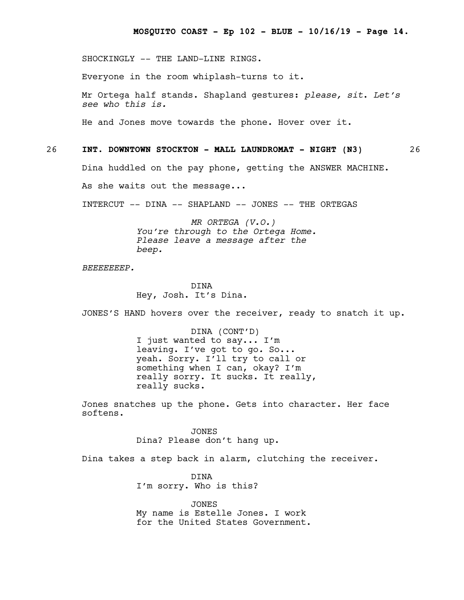SHOCKINGLY -- THE LAND-LINE RINGS.

Everyone in the room whiplash-turns to it.

Mr Ortega half stands. Shapland gestures: *please, sit*. *Let's see who this is.*

He and Jones move towards the phone. Hover over it.

26 **INT. DOWNTOWN STOCKTON - MALL LAUNDROMAT - NIGHT (N3)** 26

Dina huddled on the pay phone, getting the ANSWER MACHINE.

As she waits out the message...

INTERCUT -- DINA -- SHAPLAND -- JONES -- THE ORTEGAS

*MR ORTEGA (V.O.) You're through to the Ortega Home. Please leave a message after the beep.*

*BEEEEEEEP.*

DINA Hey, Josh. It's Dina.

JONES'S HAND hovers over the receiver, ready to snatch it up.

DINA (CONT'D) I just wanted to say... I'm leaving. I've got to go*.* So... yeah. Sorry. I'll try to call or something when I can, okay? I'm really sorry. It sucks. It really, really sucks.

Jones snatches up the phone. Gets into character. Her face softens.

> JONES Dina? Please don't hang up.

Dina takes a step back in alarm, clutching the receiver.

DINA I'm sorry. Who is this?

JONES My name is Estelle Jones. I work for the United States Government.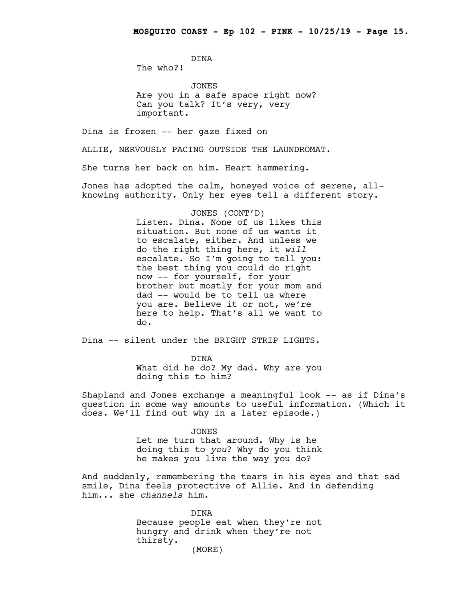DINA The who?!

JONES Are you in a safe space right now? Can you talk? It's very, very important.

Dina is frozen -- her gaze fixed on

ALLIE, NERVOUSLY PACING OUTSIDE THE LAUNDROMAT.

She turns her back on him. Heart hammering.

Jones has adopted the calm, honeyed voice of serene, allknowing authority. Only her eyes tell a different story.

#### JONES (CONT'D)

Listen. Dina. None of us likes this situation. But none of us wants it to escalate, either. And unless we do the right thing here, it *will* escalate. So I'm going to tell you: the best thing you could do right now -- for yourself, for your brother but mostly for your mom and dad -- would be to tell us where you are. Believe it or not, we're here to help. That's all we want to do.

Dina -- silent under the BRIGHT STRIP LIGHTS.

DINA What did he do? My dad. Why are you doing this to him?

Shapland and Jones exchange a meaningful look -- as if Dina's question in some way amounts to useful information. (Which it does. We'll find out why in a later episode.)

> JONES Let me turn that around. Why is he doing this to *you*? Why do you think he makes you live the way you do?

And suddenly, remembering the tears in his eyes and that sad smile, Dina feels protective of Allie. And in defending him... she *channels* him.

> DINA Because people eat when they're not hungry and drink when they're not thirsty.

(MORE)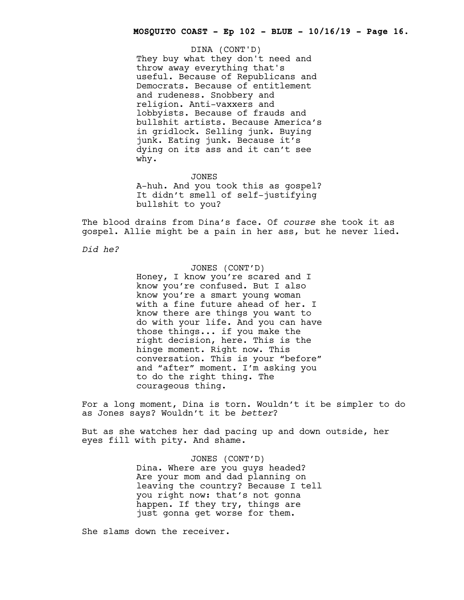They buy what they don't need and throw away everything that's useful. Because of Republicans and Democrats. Because of entitlement and rudeness. Snobbery and religion. Anti-vaxxers and lobbyists. Because of frauds and bullshit artists. Because America's in gridlock. Selling junk. Buying junk. Eating junk. Because it's dying on its ass and it can't see why. DINA (CONT'D)

JONES A-huh. And you took this as gospel? It didn't smell of self-justifying bullshit to you?

The blood drains from Dina's face. Of *course* she took it as gospel. Allie might be a pain in her ass, but he never lied.

*Did he?*

JONES (CONT'D) Honey, I know you're scared and I know you're confused. But I also know you're a smart young woman with a fine future ahead of her. I know there are things you want to do with your life. And you can have those things... if you make the right decision, here. This is the hinge moment. Right now. This conversation. This is your "before" and "after" moment. I'm asking you to do the right thing. The courageous thing.

For a long moment, Dina is torn. Wouldn't it be simpler to do as Jones says? Wouldn't it be *better*?

But as she watches her dad pacing up and down outside, her eyes fill with pity. And shame.

> JONES (CONT'D) Dina. Where are you guys headed? Are your mom and dad planning on leaving the country? Because I tell you right now: that's not gonna happen. If they try, things are just gonna get worse for them.

She slams down the receiver.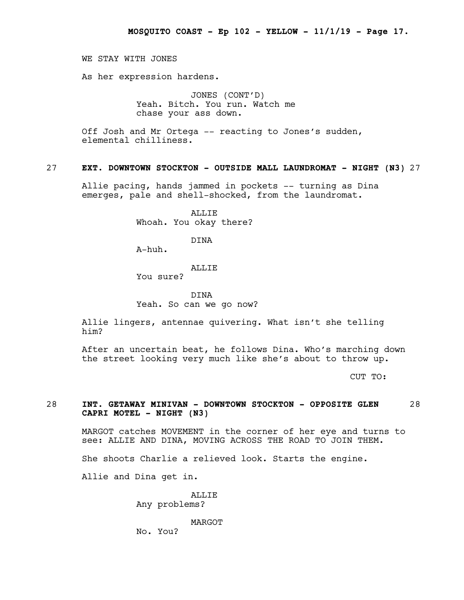WE STAY WITH JONES

As her expression hardens.

JONES (CONT'D) Yeah. Bitch. You run. Watch me chase your ass down.

Off Josh and Mr Ortega -- reacting to Jones's sudden, elemental chilliness.

# 27 **EXT. DOWNTOWN STOCKTON - OUTSIDE MALL LAUNDROMAT - NIGHT (N3)** 27

Allie pacing, hands jammed in pockets -- turning as Dina emerges, pale and shell-shocked, from the laundromat.

> ALLIE Whoah. You okay there?

> > DINA

A-huh.

#### ALLIE

You sure?

DINA Yeah. So can we go now?

Allie lingers, antennae quivering. What isn't she telling him?

After an uncertain beat, he follows Dina. Who's marching down the street looking very much like she's about to throw up.

CUT TO:

# 28 **INT. GETAWAY MINIVAN - DOWNTOWN STOCKTON - OPPOSITE GLEN** 28 **CAPRI MOTEL - NIGHT (N3)**

MARGOT catches MOVEMENT in the corner of her eye and turns to see: ALLIE AND DINA, MOVING ACROSS THE ROAD TO JOIN THEM.

She shoots Charlie a relieved look. Starts the engine.

Allie and Dina get in.

**ALLIF** Any problems?

MARGOT

No. You?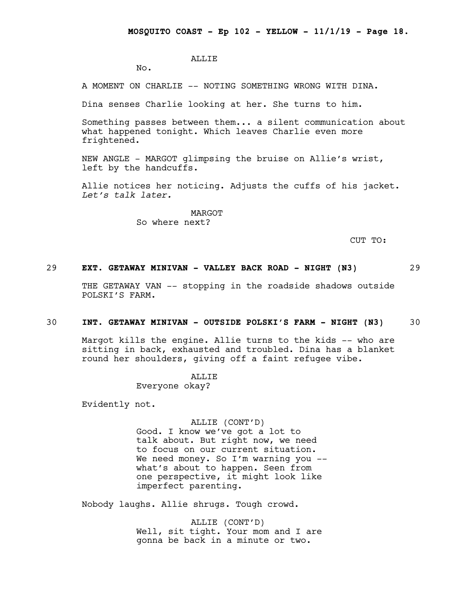# ALLIE

No.

A MOMENT ON CHARLIE -- NOTING SOMETHING WRONG WITH DINA.

Dina senses Charlie looking at her. She turns to him.

Something passes between them... a silent communication about what happened tonight. Which leaves Charlie even more frightened.

NEW ANGLE - MARGOT glimpsing the bruise on Allie's wrist, left by the handcuffs.

Allie notices her noticing. Adjusts the cuffs of his jacket. *Let's talk later.*

> MARGOT So where next?

> > CUT TO:

# 29 **EXT. GETAWAY MINIVAN - VALLEY BACK ROAD - NIGHT (N3)** 29

THE GETAWAY VAN -- stopping in the roadside shadows outside POLSKI'S FARM.

#### 30 **INT. GETAWAY MINIVAN - OUTSIDE POLSKI'S FARM - NIGHT (N3)** 30

Margot kills the engine. Allie turns to the kids -- who are sitting in back, exhausted and troubled. Dina has a blanket round her shoulders, giving off a faint refugee vibe.

**ALLIF** 

Everyone okay?

Evidently not.

#### ALLIE (CONT'D)

Good. I know we've got a lot to talk about. But right now, we need to focus on our current situation. We need money. So I'm warning you -what's about to happen. Seen from one perspective, it might look like imperfect parenting.

Nobody laughs. Allie shrugs. Tough crowd.

ALLIE (CONT'D) Well, sit tight. Your mom and I are gonna be back in a minute or two.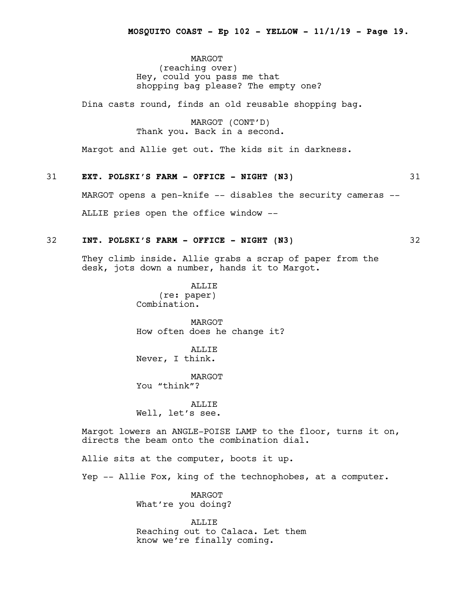MARGOT (reaching over) Hey, could you pass me that shopping bag please? The empty one?

Dina casts round, finds an old reusable shopping bag.

MARGOT (CONT'D) Thank you. Back in a second.

Margot and Allie get out. The kids sit in darkness.

# 31 **EXT. POLSKI'S FARM - OFFICE - NIGHT (N3)** 31

MARGOT opens a pen-knife -- disables the security cameras --

ALLIE pries open the office window --

#### 32 **INT. POLSKI'S FARM - OFFICE - NIGHT (N3)** 32

They climb inside. Allie grabs a scrap of paper from the desk, jots down a number, hands it to Margot.

> ALLIE (re: paper) Combination.

MARGOT How often does he change it?

ALLIE Never, I think.

MARGOT You "think"?

ALLIE Well, let's see.

Margot lowers an ANGLE-POISE LAMP to the floor, turns it on, directs the beam onto the combination dial.

Allie sits at the computer, boots it up.

Yep -- Allie Fox, king of the technophobes, at a computer.

MARGOT What're you doing?

ALLIE Reaching out to Calaca. Let them know we're finally coming.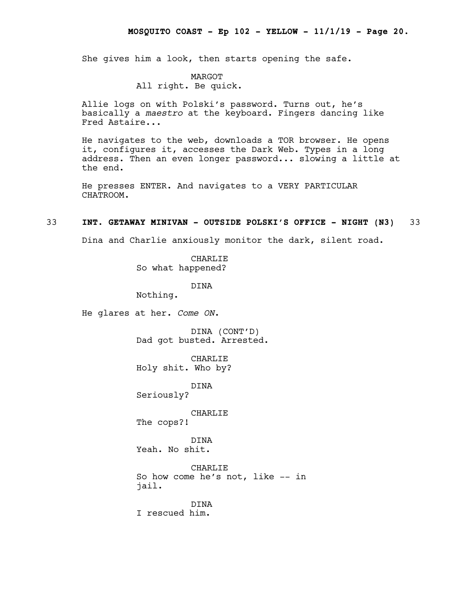She gives him a look, then starts opening the safe.

#### MARGOT

# All right. Be quick.

Allie logs on with Polski's password. Turns out, he's basically a *maestro* at the keyboard. Fingers dancing like Fred Astaire...

He navigates to the web, downloads a TOR browser. He opens it, configures it, accesses the Dark Web. Types in a long address. Then an even longer password... slowing a little at the end.

He presses ENTER. And navigates to a VERY PARTICULAR CHATROOM.

#### 33 **INT. GETAWAY MINIVAN - OUTSIDE POLSKI'S OFFICE - NIGHT (N3)** 33

Dina and Charlie anxiously monitor the dark, silent road.

CHARLIE So what happened?

DINA

Nothing.

He glares at her. *Come ON*.

DINA (CONT'D) Dad got busted. Arrested.

CHARLIE Holy shit. Who by?

DINA

Seriously?

CHARLIE

The cops?!

DINA Yeah. No shit.

CHARLIE So how come he's not, like -- in jail.

DINA I rescued him.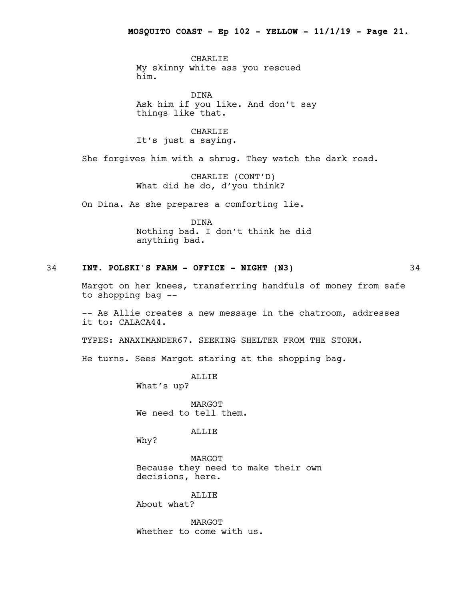CHARLIE My skinny white ass you rescued him.

DINA Ask him if you like. And don't say things like that.

CHARLIE It's just a saying.

She forgives him with a shrug. They watch the dark road.

CHARLIE (CONT'D) What did he do, d'you think?

On Dina. As she prepares a comforting lie.

DINA Nothing bad. I don't think he did anything bad.

# 34 **INT. POLSKI'S FARM - OFFICE - NIGHT (N3)** 34

Margot on her knees, transferring handfuls of money from safe to shopping bag --

-- As Allie creates a new message in the chatroom, addresses it to: CALACA44.

TYPES: ANAXIMANDER67. SEEKING SHELTER FROM THE STORM.

He turns. Sees Margot staring at the shopping bag.

ALLIE What's up?

MARGOT We need to tell them.

ALLIE

Why?

MARGOT Because they need to make their own decisions, here.

ALLIE About what?

MARGOT Whether to come with us.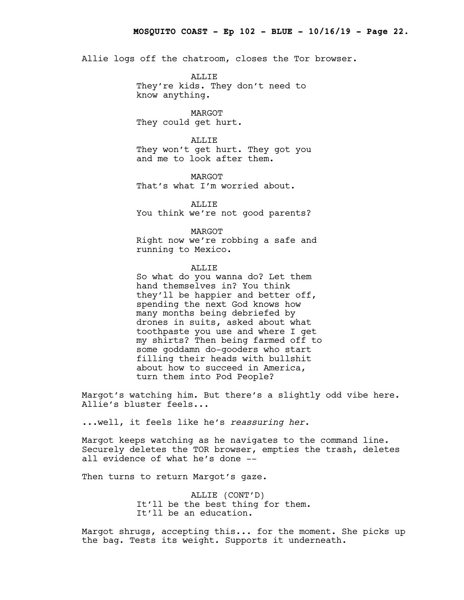Allie logs off the chatroom, closes the Tor browser.

ALLIE They're kids. They don't need to know anything.

MARGOT They could get hurt.

ALLIE They won't get hurt. They got you and me to look after them.

MARGOT That's what I'm worried about.

ALLIE You think we're not good parents?

MARGOT Right now we're robbing a safe and running to Mexico.

#### ALLIE

So what do you wanna do? Let them hand themselves in? You think they'll be happier and better off, spending the next God knows how many months being debriefed by drones in suits, asked about what toothpaste you use and where I get my shirts? Then being farmed off to some goddamn do-gooders who start filling their heads with bullshit about how to succeed in America, turn them into Pod People?

Margot's watching him. But there's a slightly odd vibe here. Allie's bluster feels...

...well, it feels like he's *reassuring her*.

Margot keeps watching as he navigates to the command line. Securely deletes the TOR browser, empties the trash, deletes all evidence of what he's done --

Then turns to return Margot's gaze.

ALLIE (CONT'D) It'll be the best thing for them. It'll be an education.

Margot shrugs, accepting this... for the moment. She picks up the bag. Tests its weight. Supports it underneath.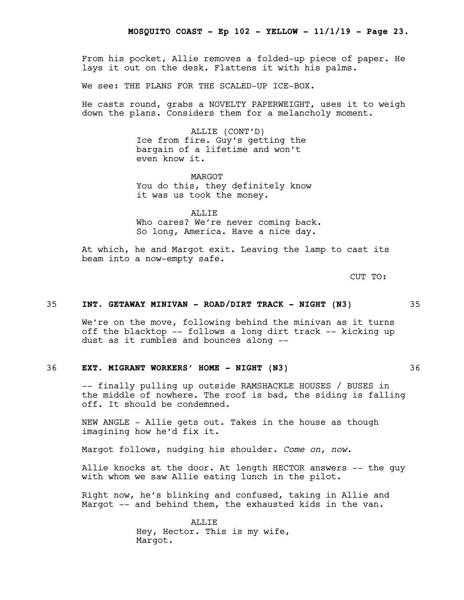From his pocket, Allie removes a folded-up piece of paper. He lays it out on the desk. Flattens it with his palms.

We see: THE PLANS FOR THE SCALED-UP ICE-BOX.

He casts round, grabs a NOVELTY PAPERWEIGHT, uses it to weigh down the plans. Considers them for a melancholy moment.

> ALLIE (CONT'D) Ice from fire. Guy's getting the bargain of a lifetime and won't even know it.

MARGOT You do this, they definitely know it was us took the money.

ALLIE Who cares? We're never coming back. So long, America. Have a nice day.

At which, he and Margot exit. Leaving the lamp to cast its beam into a now-empty safe.

CUT TO:

# 35 **INT. GETAWAY MINIVAN - ROAD/DIRT TRACK - NIGHT (N3)** 35

We're on the move, following behind the minivan as it turns off the blacktop -- follows a long dirt track -- kicking up dust as it rumbles and bounces along --

# 36 **EXT. MIGRANT WORKERS' HOME - NIGHT (N3)** 36

-- finally pulling up outside RAMSHACKLE HOUSES / BUSES in the middle of nowhere. The roof is bad, the siding is falling off. It should be condemned.

NEW ANGLE - Allie gets out. Takes in the house as though imagining how he'd fix it.

Margot follows, nudging his shoulder. *Come on, now*.

Allie knocks at the door. At length HECTOR answers -- the guy with whom we saw Allie eating lunch in the pilot.

Right now, he's blinking and confused, taking in Allie and Margot -- and behind them, the exhausted kids in the van.

> ALLIE Hey, Hector. This is my wife, Margot.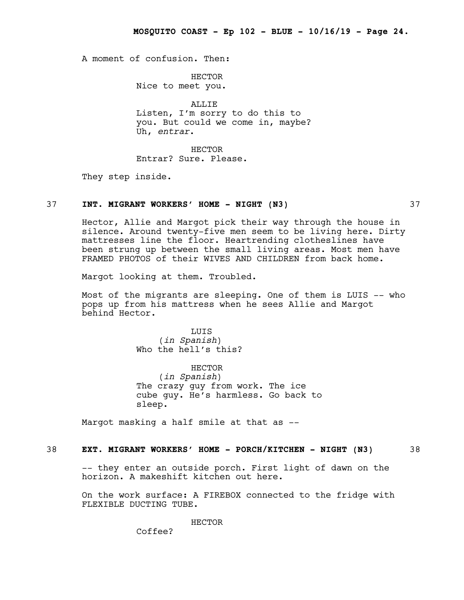A moment of confusion. Then:

HECTOR Nice to meet you.

ALLIE Listen, I'm sorry to do this to you. But could we come in, maybe? Uh, *entrar*.

HECTOR Entrar? Sure. Please.

They step inside.

# 37 **INT. MIGRANT WORKERS' HOME - NIGHT (N3)** 37

Hector, Allie and Margot pick their way through the house in silence. Around twenty-five men seem to be living here. Dirty mattresses line the floor. Heartrending clotheslines have been strung up between the small living areas. Most men have FRAMED PHOTOS of their WIVES AND CHILDREN from back home.

Margot looking at them. Troubled.

Most of the migrants are sleeping. One of them is LUIS -- who pops up from his mattress when he sees Allie and Margot behind Hector.

> LUIS (*in Spanish*) Who the hell's this?

HECTOR (*in Spanish*) The crazy guy from work. The ice cube guy. He's harmless. Go back to sleep.

Margot masking a half smile at that as --

# 38 **EXT. MIGRANT WORKERS' HOME - PORCH/KITCHEN - NIGHT (N3)** 38

-- they enter an outside porch. First light of dawn on the horizon. A makeshift kitchen out here.

On the work surface: A FIREBOX connected to the fridge with FLEXIBLE DUCTING TUBE.

HECTOR

Coffee?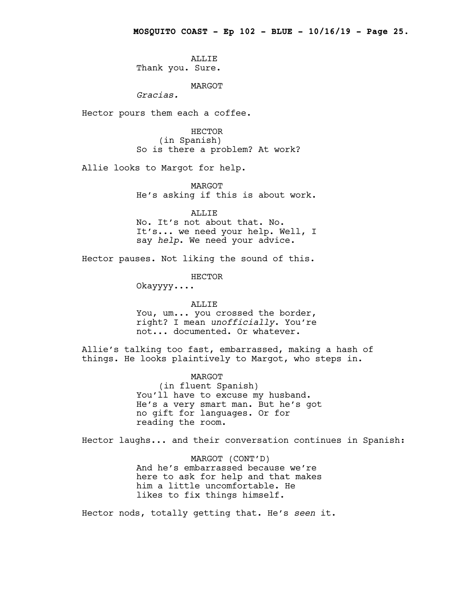ALLIE Thank you. Sure.

MARGOT

*Gracias.*

Hector pours them each a coffee.

HECTOR (in Spanish) So is there a problem? At work?

Allie looks to Margot for help.

MARGOT He's asking if this is about work.

ALLIE No. It's not about that. No. It's... we need your help. Well, I say *help*. We need your advice.

Hector pauses. Not liking the sound of this.

HECTOR

Okayyyy....

#### ALLIE

You, um... you crossed the border, right? I mean *unofficially*. You're not... documented. Or whatever.

Allie's talking too fast, embarrassed, making a hash of things. He looks plaintively to Margot, who steps in.

MARGOT

(in fluent Spanish) You'll have to excuse my husband. He's a very smart man. But he's got no gift for languages. Or for reading the room.

Hector laughs... and their conversation continues in Spanish:

MARGOT (CONT'D) And he's embarrassed because we're here to ask for help and that makes him a little uncomfortable. He likes to fix things himself.

Hector nods, totally getting that. He's *seen* it.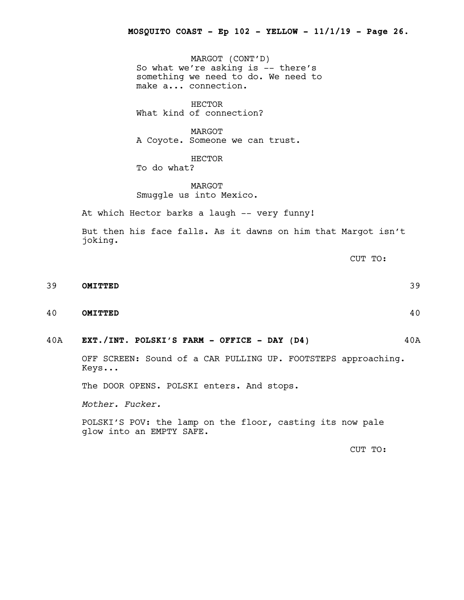MARGOT (CONT'D) So what we're asking is -- there's something we need to do. We need to make a... connection.

HECTOR What kind of connection?

MARGOT A Coyote. Someone we can trust.

HECTOR To do what?

MARGOT Smuggle us into Mexico.

At which Hector barks a laugh -- very funny!

But then his face falls. As it dawns on him that Margot isn't joking.

CUT TO:

- 39 **OMITTED** 39
- 40 **OMITTED** 40
- 40A **EXT./INT. POLSKI'S FARM - OFFICE - DAY (D4)** 40A

OFF SCREEN: Sound of a CAR PULLING UP. FOOTSTEPS approaching. Keys...

The DOOR OPENS. POLSKI enters. And stops.

*Mother. Fucker.*

POLSKI'S POV: the lamp on the floor, casting its now pale glow into an EMPTY SAFE.

CUT TO: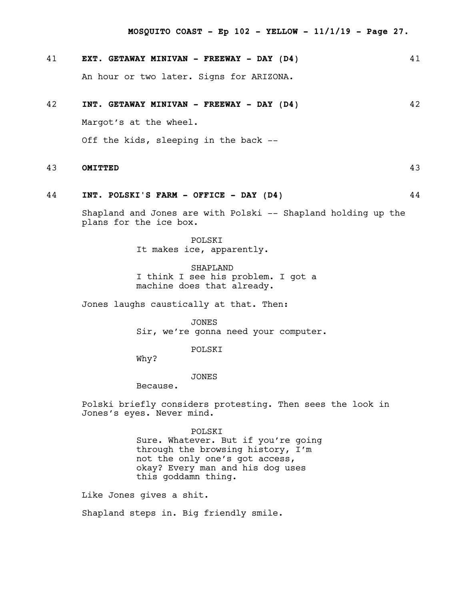**MOSQUITO COAST - Ep 102 - YELLOW - 11/1/19 - Page 27.**

# 41 **EXT. GETAWAY MINIVAN - FREEWAY - DAY (D4)** 41

An hour or two later. Signs for ARIZONA.

# 42 **INT. GETAWAY MINIVAN - FREEWAY - DAY (D4)** 42

Margot's at the wheel.

Off the kids, sleeping in the back --

# 43 **OMITTED** 43

# 44 **INT. POLSKI'S FARM - OFFICE - DAY (D4)** 44

Shapland and Jones are with Polski -- Shapland holding up the plans for the ice box.

> POLSKI It makes ice, apparently.

SHAPLAND I think I see his problem. I got a machine does that already.

Jones laughs caustically at that. Then:

JONES Sir, we're gonna need your computer.

### POLSKI

Why?

#### JONES

Because.

Polski briefly considers protesting. Then sees the look in Jones's eyes. Never mind.

#### POLSKI

Sure. Whatever. But if you're going through the browsing history, I'm not the only one's got access, okay? Every man and his dog uses this goddamn thing.

Like Jones gives a shit.

Shapland steps in. Big friendly smile.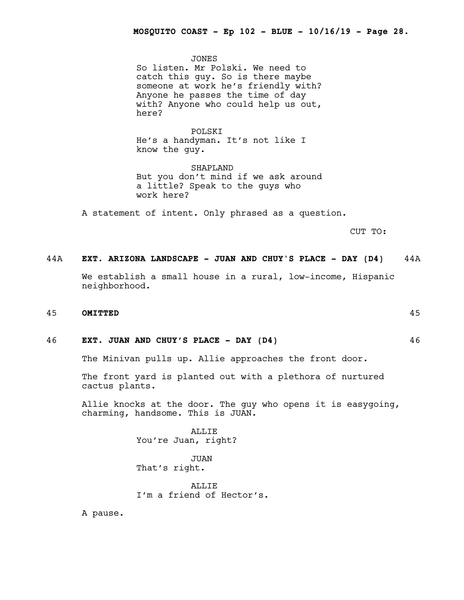JONES So listen. Mr Polski. We need to catch this guy. So is there maybe someone at work he's friendly with? Anyone he passes the time of day with? Anyone who could help us out, here?

POLSKI He's a handyman. It's not like I know the guy.

SHAPLAND But you don't mind if we ask around a little? Speak to the guys who work here?

A statement of intent. Only phrased as a question.

CUT TO:

# 44A **EXT. ARIZONA LANDSCAPE - JUAN AND CHUY'S PLACE - DAY (D4)** 44A

We establish a small house in a rural, low-income, Hispanic neighborhood.

# 45 **OMITTED** 45

#### 46 **EXT. JUAN AND CHUY'S PLACE - DAY (D4)** 46

The Minivan pulls up. Allie approaches the front door.

The front yard is planted out with a plethora of nurtured cactus plants.

Allie knocks at the door. The guy who opens it is easygoing, charming, handsome. This is JUAN.

> ALLIE You're Juan, right?

JUAN That's right.

ALLIE I'm a friend of Hector's.

A pause.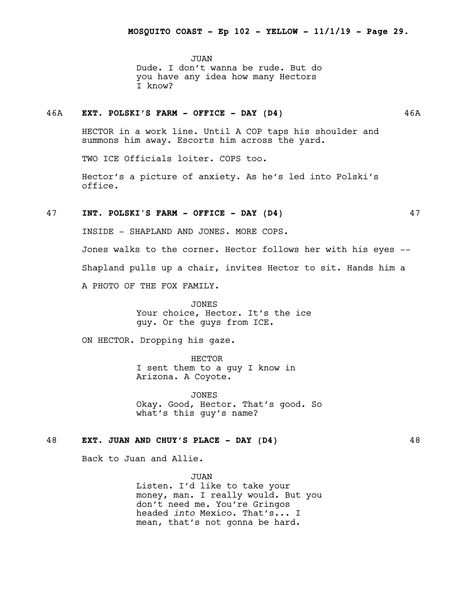JUAN Dude. I don't wanna be rude. But do you have any idea how many Hectors I know?

# 46A **EXT. POLSKI'S FARM - OFFICE - DAY (D4)** 46A

HECTOR in a work line. Until A COP taps his shoulder and summons him away. Escorts him across the yard.

TWO ICE Officials loiter. COPS too.

Hector's a picture of anxiety. As he's led into Polski's office.

# 47 **INT. POLSKI'S FARM - OFFICE - DAY (D4)** 47

INSIDE - SHAPLAND AND JONES. MORE COPS.

Jones walks to the corner. Hector follows her with his eyes -- Shapland pulls up a chair, invites Hector to sit. Hands him a A PHOTO OF THE FOX FAMILY.

> JONES Your choice, Hector. It's the ice guy. Or the guys from ICE.

ON HECTOR. Dropping his gaze.

HECTOR I sent them to a guy I know in Arizona. A Coyote.

JONES Okay. Good, Hector. That's good. So what's this guy's name?

#### 48 **EXT. JUAN AND CHUY'S PLACE - DAY (D4)** 48

Back to Juan and Allie.

JUAN Listen. I'd like to take your money, man. I really would. But you don't need me. You're Gringos headed *into* Mexico. That's... I mean, that's not gonna be hard.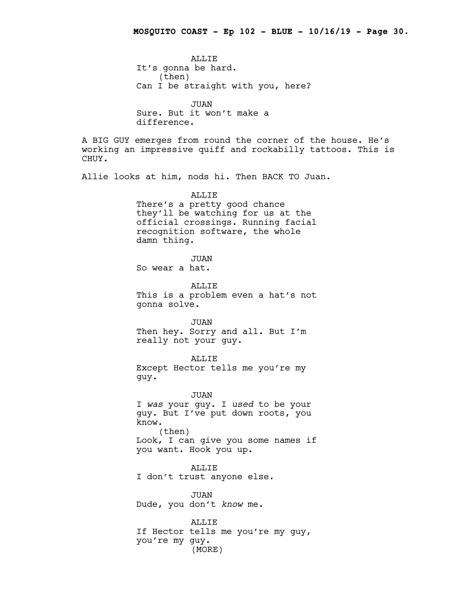**ALLIF** It's gonna be hard. (then) Can I be straight with you, here? JUAN Sure. But it won't make a difference. A BIG GUY emerges from round the corner of the house. He's working an impressive quiff and rockabilly tattoos. This is CHUY. Allie looks at him, nods hi. Then BACK TO Juan. ALLIE There's a pretty good chance they'll be watching for us at the official crossings. Running facial recognition software, the whole damn thing. JUAN So wear a hat. ALLIE This is a problem even a hat's not gonna solve. JUAN Then hey. Sorry and all. But I'm really not your guy. ALLIE Except Hector tells me you're my guy. JUAN I *was* your guy. I *used* to be your guy. But I've put down roots, you know. (then) Look, I can give you some names if you want. Hook you up. ALLIE I don't trust anyone else. JUAN Dude, you don't *know* me. ALLIE If Hector tells me you're my guy, you're my guy. (MORE)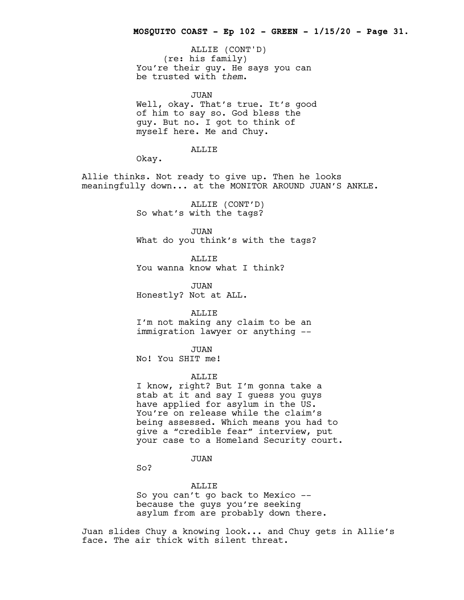(re: his family) You're their guy. He says you can be trusted with *them*. ALLIE (CONT'D)

JUAN Well, okay. That's true. It's good of him to say so. God bless the guy. But no. I got to think of myself here. Me and Chuy.

ALLIE

Okay.

Allie thinks. Not ready to give up. Then he looks meaningfully down... at the MONITOR AROUND JUAN'S ANKLE.

> ALLIE (CONT'D) So what's with the tags?

JUAN What do you think's with the tags?

ALLIE You wanna know what I think?

JUAN

Honestly? Not at ALL.

ALLIE I'm not making any claim to be an immigration lawyer or anything --

JUAN No! You SHIT me!

#### ALLIE

I know, right? But I'm gonna take a stab at it and say I guess you guys have applied for asylum in the US. You're on release while the claim's being assessed. Which means you had to give a "credible fear" interview, put your case to a Homeland Security court.

JUAN

So?

ALLIE

So you can't go back to Mexico - because the guys you're seeking asylum from are probably down there.

Juan slides Chuy a knowing look... and Chuy gets in Allie's face. The air thick with silent threat.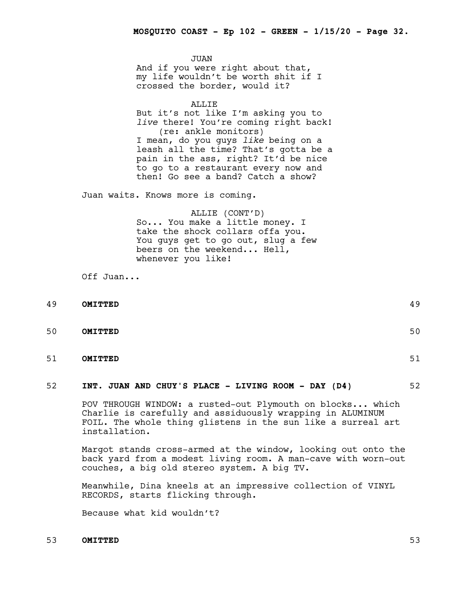JUAN And if you were right about that, my life wouldn't be worth shit if I crossed the border, would it?

ALLIE But it's not like I'm asking you to *live* there! You're coming right back! (re: ankle monitors) I mean, do you guys *like* being on a leash all the time? That's gotta be a pain in the ass, right? It'd be nice to go to a restaurant every now and then! Go see a band? Catch a show?

Juan waits. Knows more is coming.

# ALLIE (CONT'D) So... You make a little money. I take the shock collars offa you. You guys get to go out, slug a few beers on the weekend... Hell, whenever you like!

Off Juan...

| 49 | OMITTED | 49 |
|----|---------|----|
|    |         |    |
| 50 | OMITTED | 50 |

51 **OMITTED** 51

#### 52 **INT. JUAN AND CHUY'S PLACE - LIVING ROOM - DAY (D4)** 52

POV THROUGH WINDOW: a rusted-out Plymouth on blocks... which Charlie is carefully and assiduously wrapping in ALUMINUM FOIL. The whole thing glistens in the sun like a surreal art installation.

Margot stands cross-armed at the window, looking out onto the back yard from a modest living room. A man-cave with worn-out couches, a big old stereo system. A big TV.

Meanwhile, Dina kneels at an impressive collection of VINYL RECORDS, starts flicking through.

Because what kid wouldn't?

# 53 **OMITTED** 53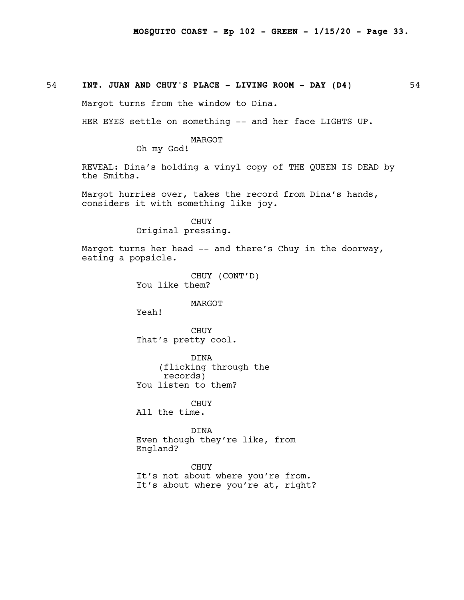# 54 **INT. JUAN AND CHUY'S PLACE - LIVING ROOM - DAY (D4)** 54

Margot turns from the window to Dina.

HER EYES settle on something -- and her face LIGHTS UP.

MARGOT

Oh my God!

REVEAL: Dina's holding a vinyl copy of THE QUEEN IS DEAD by the Smiths.

Margot hurries over, takes the record from Dina's hands, considers it with something like joy.

CHUY Original pressing.

Margot turns her head -- and there's Chuy in the doorway, eating a popsicle.

CHUY (CONT'D) You like them?

#### MARGOT

Yeah!

CHUY That's pretty cool.

DINA (flicking through the records) You listen to them?

CHUY

All the time.

DINA Even though they're like, from England?

CHUY<br>It's not about where you're from. It's about where you're at, right?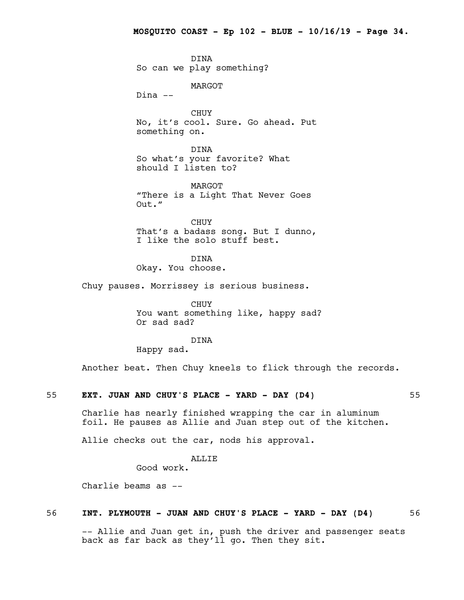DINA So can we play something?

MARGOT

Dina --

CHUY No, it's cool. Sure. Go ahead. Put something on.

DINA So what's your favorite? What should I listen to?

MARGOT "There is a Light That Never Goes Out."

CHUY That's a badass song. But I dunno, I like the solo stuff best.

DINA Okay. You choose.

Chuy pauses. Morrissey is serious business.

CHUY You want something like, happy sad? Or sad sad?

DINA

Happy sad.

Another beat. Then Chuy kneels to flick through the records.

#### 55 **EXT. JUAN AND CHUY'S PLACE - YARD - DAY (D4)** 55

Charlie has nearly finished wrapping the car in aluminum foil. He pauses as Allie and Juan step out of the kitchen.

Allie checks out the car, nods his approval.

ALLIE

Good work.

Charlie beams as --

# 56 **INT. PLYMOUTH - JUAN AND CHUY'S PLACE - YARD - DAY (D4)** 56

-- Allie and Juan get in, push the driver and passenger seats back as far back as they'll go. Then they sit.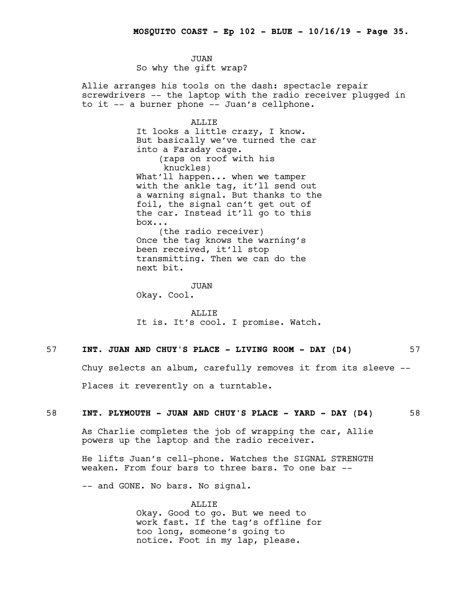JUAN So why the gift wrap?

Allie arranges his tools on the dash: spectacle repair screwdrivers -- the laptop with the radio receiver plugged in to it -- a burner phone -- Juan's cellphone.

ALLIE

It looks a little crazy, I know. But basically we've turned the car into a Faraday cage. (raps on roof with his knuckles) What'll happen... when we tamper with the ankle tag, it'll send out a warning signal. But thanks to the foil, the signal can't get out of the car. Instead it'll go to this box... (the radio receiver) Once the tag knows the warning's

been received, it'll stop transmitting. Then we can do the next bit.

JUAN Okay. Cool.

ALLIE It is. It's cool. I promise. Watch.

# 57 **INT. JUAN AND CHUY'S PLACE - LIVING ROOM - DAY (D4)** 57

Chuy selects an album, carefully removes it from its sleeve --

Places it reverently on a turntable.

# 58 **INT. PLYMOUTH - JUAN AND CHUY'S PLACE - YARD - DAY (D4)** 58

As Charlie completes the job of wrapping the car, Allie powers up the laptop and the radio receiver.

He lifts Juan's cell-phone. Watches the SIGNAL STRENGTH weaken. From four bars to three bars. To one bar --

-- and GONE. No bars. No signal.

ALLIE Okay. Good to go. But we need to work fast. If the tag's offline for too long, someone's going to notice. Foot in my lap, please.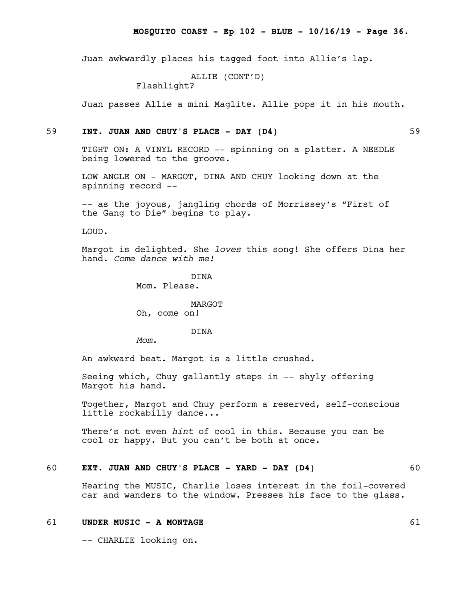Juan awkwardly places his tagged foot into Allie's lap.

ALLIE (CONT'D)

Flashlight?

Juan passes Allie a mini Maglite. Allie pops it in his mouth.

# 59 **INT. JUAN AND CHUY'S PLACE - DAY (D4)** 59

TIGHT ON: A VINYL RECORD -- spinning on a platter. A NEEDLE being lowered to the groove.

LOW ANGLE ON - MARGOT, DINA AND CHUY looking down at the spinning record --

-- as the joyous, jangling chords of Morrissey's "First of the Gang to Die" begins to play.

LOUD.

Margot is delighted. She *loves* this song! She offers Dina her hand. *Come dance with me!*

> DINA Mom. Please.

MARGOT Oh, come on!

#### DINA

*Mom*.

An awkward beat. Margot is a little crushed.

Seeing which, Chuy gallantly steps in -- shyly offering Margot his hand.

Together, Margot and Chuy perform a reserved, self-conscious little rockabilly dance...

There's not even *hint* of cool in this. Because you can be cool or happy. But you can't be both at once.

# 60 **EXT. JUAN AND CHUY'S PLACE - YARD - DAY (D4)** 60

Hearing the MUSIC, Charlie loses interest in the foil-covered car and wanders to the window. Presses his face to the glass.

#### 61 **UNDER MUSIC - A MONTAGE** 61

-- CHARLIE looking on.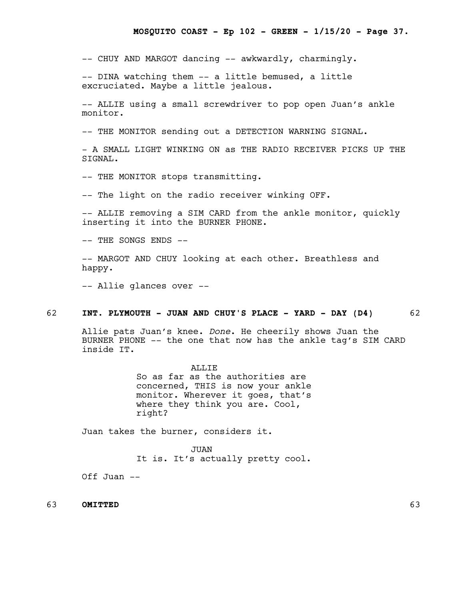-- CHUY AND MARGOT dancing -- awkwardly, charmingly.

-- DINA watching them -- a little bemused, a little excruciated. Maybe a little jealous.

-- ALLIE using a small screwdriver to pop open Juan's ankle monitor.

-- THE MONITOR sending out a DETECTION WARNING SIGNAL.

- A SMALL LIGHT WINKING ON as THE RADIO RECEIVER PICKS UP THE STGNAL.

-- THE MONITOR stops transmitting.

-- The light on the radio receiver winking OFF.

-- ALLIE removing a SIM CARD from the ankle monitor, quickly inserting it into the BURNER PHONE.

-- THE SONGS ENDS --

-- MARGOT AND CHUY looking at each other. Breathless and happy.

-- Allie glances over --

### 62 **INT. PLYMOUTH - JUAN AND CHUY'S PLACE - YARD - DAY (D4)** 62

Allie pats Juan's knee. *Done*. He cheerily shows Juan the BURNER PHONE -- the one that now has the ankle tag's SIM CARD inside IT.

> ALLIE So as far as the authorities are concerned, THIS is now your ankle monitor. Wherever it goes, that's where they think you are. Cool, right?

Juan takes the burner, considers it.

JUAN It is. It's actually pretty cool.

Off Juan  $--$ 

63 **OMITTED** 63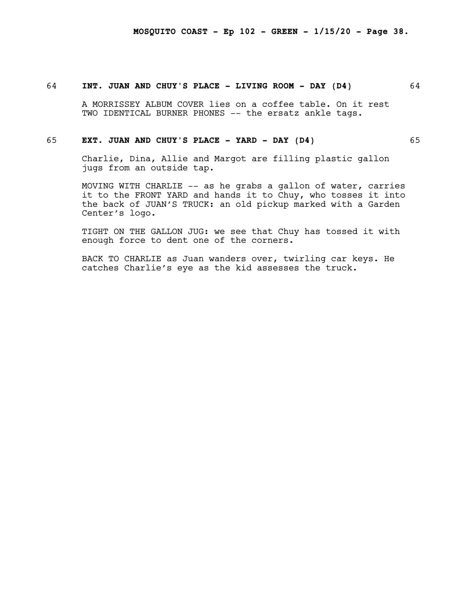#### 64 **INT. JUAN AND CHUY'S PLACE - LIVING ROOM - DAY (D4)** 64

A MORRISSEY ALBUM COVER lies on a coffee table. On it rest TWO IDENTICAL BURNER PHONES -- the ersatz ankle tags.

#### 65 **EXT. JUAN AND CHUY'S PLACE - YARD - DAY (D4)** 65

Charlie, Dina, Allie and Margot are filling plastic gallon jugs from an outside tap.

MOVING WITH CHARLIE -- as he grabs a gallon of water, carries it to the FRONT YARD and hands it to Chuy, who tosses it into the back of JUAN'S TRUCK: an old pickup marked with a Garden Center's logo.

TIGHT ON THE GALLON JUG: we see that Chuy has tossed it with enough force to dent one of the corners.

BACK TO CHARLIE as Juan wanders over, twirling car keys. He catches Charlie's eye as the kid assesses the truck.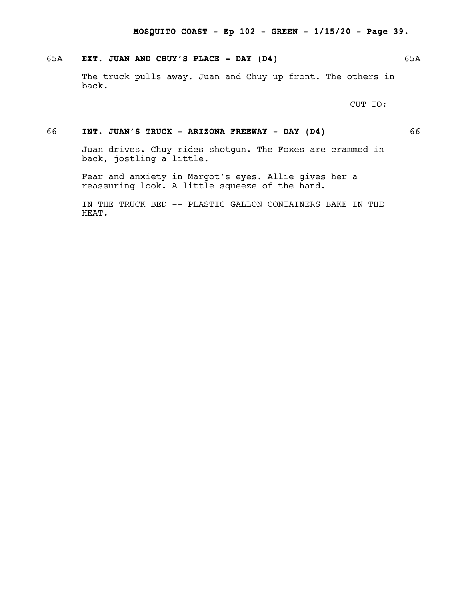# 65A **EXT. JUAN AND CHUY'S PLACE - DAY (D4)** 65A

The truck pulls away. Juan and Chuy up front. The others in back.

CUT TO:

# 66 **INT. JUAN'S TRUCK - ARIZONA FREEWAY - DAY (D4)** 66

Juan drives. Chuy rides shotgun. The Foxes are crammed in back, jostling a little.

Fear and anxiety in Margot's eyes. Allie gives her a reassuring look. A little squeeze of the hand.

IN THE TRUCK BED -- PLASTIC GALLON CONTAINERS BAKE IN THE HEAT.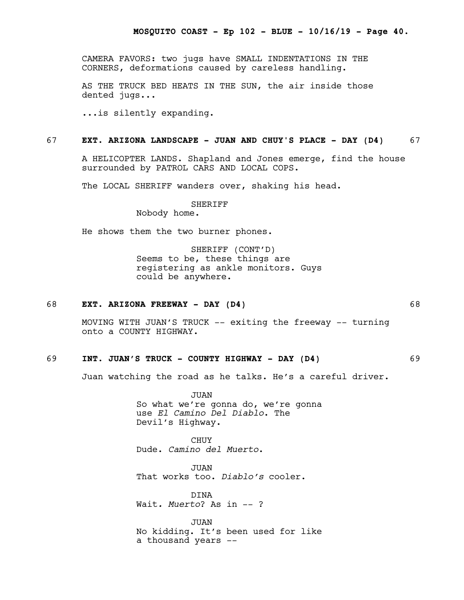CAMERA FAVORS: two jugs have SMALL INDENTATIONS IN THE CORNERS, deformations caused by careless handling.

AS THE TRUCK BED HEATS IN THE SUN, the air inside those dented jugs...

...is silently expanding.

#### 67 **EXT. ARIZONA LANDSCAPE - JUAN AND CHUY'S PLACE - DAY (D4)** 67

A HELICOPTER LANDS. Shapland and Jones emerge, find the house surrounded by PATROL CARS AND LOCAL COPS.

The LOCAL SHERIFF wanders over, shaking his head.

#### SHERIFF

Nobody home.

He shows them the two burner phones.

SHERIFF (CONT'D) Seems to be, these things are registering as ankle monitors. Guys could be anywhere.

#### 68 **EXT. ARIZONA FREEWAY - DAY (D4)** 68

MOVING WITH JUAN'S TRUCK -- exiting the freeway -- turning onto a COUNTY HIGHWAY.

# 69 **INT. JUAN'S TRUCK - COUNTY HIGHWAY - DAY (D4)** 69

Juan watching the road as he talks. He's a careful driver.

JUAN So what we're gonna do, we're gonna use *El Camino Del Diablo*. The Devil's Highway.

**CHUY** Dude. *Camino del Muerto*.

JUAN That works too. *Diablo's* cooler.

DINA Wait*. Muerto*? As in -- ?

JUAN No kidding. It's been used for like a thousand years --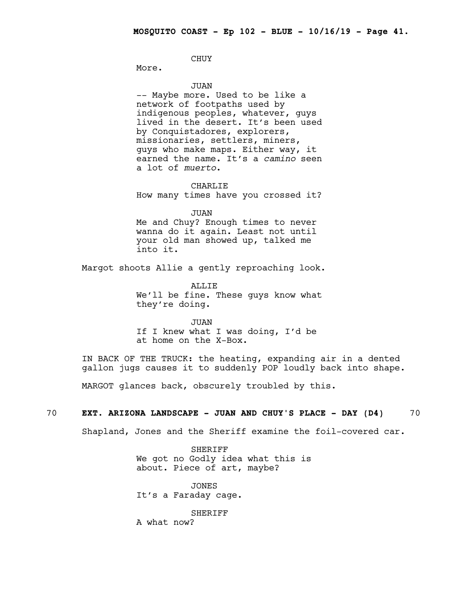CHUY

More.

JUAN

-- Maybe more. Used to be like a network of footpaths used by indigenous peoples, whatever, guys lived in the desert. It's been used by Conquistadores, explorers, missionaries, settlers, miners, guys who make maps. Either way, it earned the name. It's a *camino* seen a lot of *muerto*.

CHARLIE

How many times have you crossed it?

JUAN Me and Chuy? Enough times to never wanna do it again. Least not until your old man showed up, talked me into it.

Margot shoots Allie a gently reproaching look.

**ALLIE** We'll be fine. These guys know what they're doing.

JUAN If I knew what I was doing, I'd be at home on the X-Box.

IN BACK OF THE TRUCK: the heating, expanding air in a dented gallon jugs causes it to suddenly POP loudly back into shape.

MARGOT glances back, obscurely troubled by this.

# 70 **EXT. ARIZONA LANDSCAPE - JUAN AND CHUY'S PLACE - DAY (D4)** 70

Shapland, Jones and the Sheriff examine the foil-covered car.

SHERIFF We got no Godly idea what this is about. Piece of art, maybe?

JONES It's a Faraday cage.

SHERIFF A what now?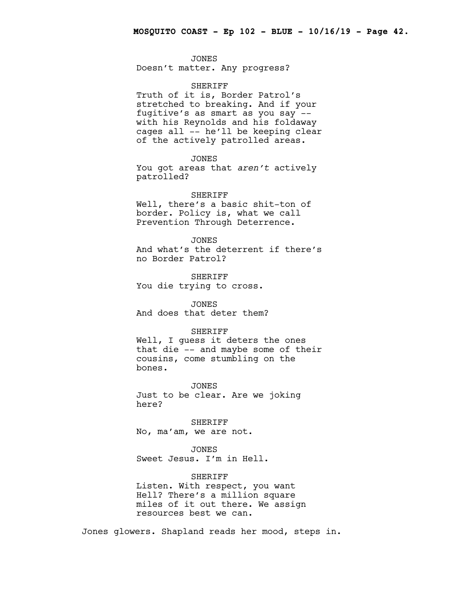JONES Doesn't matter. Any progress?

#### SHERIFF

Truth of it is, Border Patrol's stretched to breaking. And if your fugitive's as smart as you say - with his Reynolds and his foldaway cages all -- he'll be keeping clear of the actively patrolled areas.

# JONES

You got areas that *aren't* actively patrolled?

#### SHERIFF

Well, there's a basic shit-ton of border. Policy is, what we call Prevention Through Deterrence.

JONES And what's the deterrent if there's no Border Patrol?

SHERIFF You die trying to cross.

JONES And does that deter them?

#### SHERIFF

Well, I guess it deters the ones that die -- and maybe some of their cousins, come stumbling on the bones.

JONES

Just to be clear. Are we joking here?

SHERIFF No, ma'am, we are not.

JONES Sweet Jesus. I'm in Hell.

SHERIFF Listen. With respect, you want Hell? There's a million square miles of it out there. We assign resources best we can.

Jones glowers. Shapland reads her mood, steps in.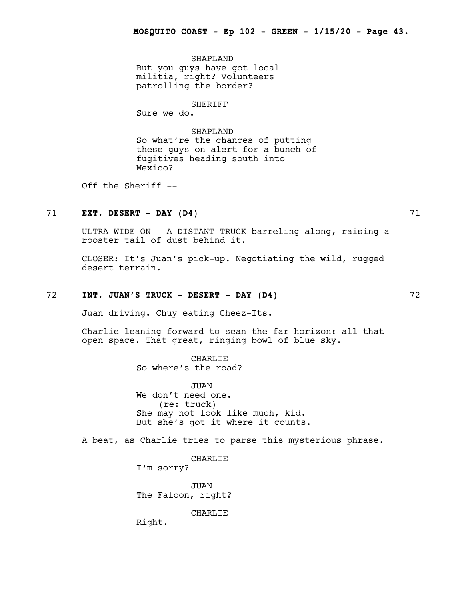SHAPLAND But you guys have got local militia, right? Volunteers patrolling the border?

SHERIFF

Sure we do.

SHAPLAND So what're the chances of putting these guys on alert for a bunch of fugitives heading south into Mexico?

Off the Sheriff --

# 71 **EXT. DESERT - DAY (D4)** 71

ULTRA WIDE ON - A DISTANT TRUCK barreling along, raising a rooster tail of dust behind it.

CLOSER: It's Juan's pick-up. Negotiating the wild, rugged desert terrain.

#### 72 **INT. JUAN'S TRUCK - DESERT - DAY (D4)** 72

Juan driving. Chuy eating Cheez-Its.

Charlie leaning forward to scan the far horizon: all that open space. That great, ringing bowl of blue sky.

> CHARLIE So where's the road?

JUAN We don't need one. (re: truck) She may not look like much, kid. But she's got it where it counts.

A beat, as Charlie tries to parse this mysterious phrase.

CHARLIE

I'm sorry?

JUAN The Falcon, right?

CHARLIE

Right.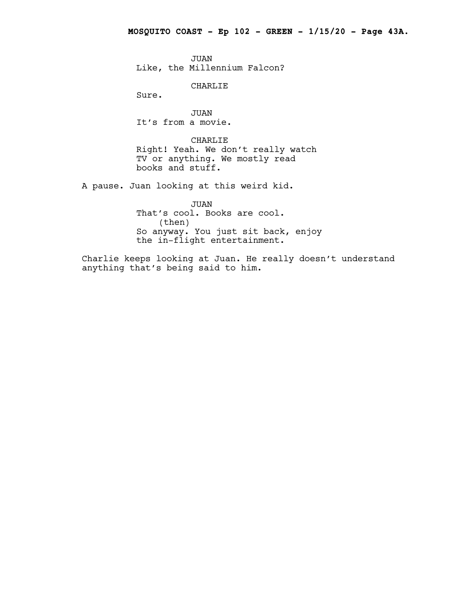JUAN Like, the Millennium Falcon?

CHARLIE

Sure.

JUAN It's from a movie.

CHARLIE Right! Yeah. We don't really watch TV or anything. We mostly read books and stuff.

A pause. Juan looking at this weird kid.

JUAN That's cool. Books are cool. (then) So anyway. You just sit back, enjoy the in-flight entertainment.

Charlie keeps looking at Juan. He really doesn't understand anything that's being said to him.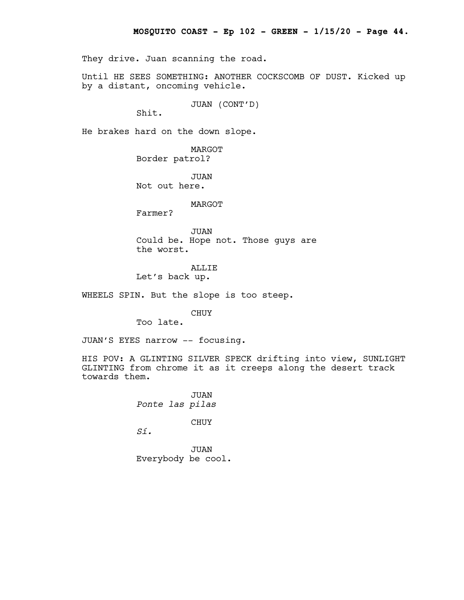They drive. Juan scanning the road.

Until HE SEES SOMETHING: ANOTHER COCKSCOMB OF DUST. Kicked up by a distant, oncoming vehicle.

JUAN (CONT'D)

Shit.

He brakes hard on the down slope.

MARGOT Border patrol?

JUAN Not out here.

MARGOT

Farmer?

JUAN Could be. Hope not. Those guys are the worst.

#### ALLIE

Let's back up.

WHEELS SPIN. But the slope is too steep.

CHUY

Too late.

JUAN'S EYES narrow -- focusing.

HIS POV: A GLINTING SILVER SPECK drifting into view, SUNLIGHT GLINTING from chrome it as it creeps along the desert track towards them.

> JUAN *Ponte las pilas*

> > CHUY

*Sí.*

JUAN Everybody be cool.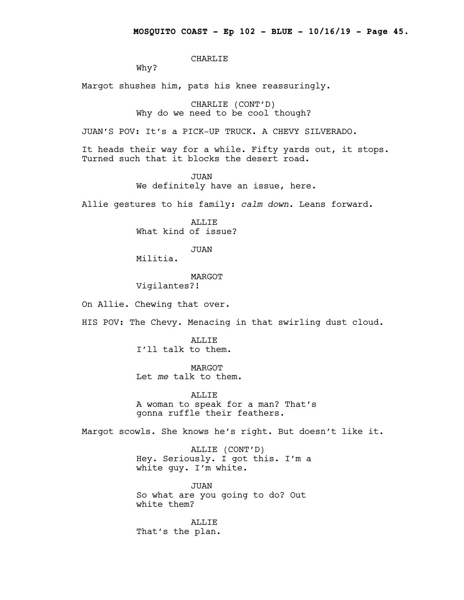CHARLIE

Why?

Margot shushes him, pats his knee reassuringly.

CHARLIE (CONT'D) Why do we need to be cool though?

JUAN'S POV: It's a PICK-UP TRUCK. A CHEVY SILVERADO.

It heads their way for a while. Fifty yards out, it stops. Turned such that it blocks the desert road.

> JUAN We definitely have an issue, here.

Allie gestures to his family: *calm down*. Leans forward.

ALLIE What kind of issue?

JUAN

Militia.

MARGOT Vigilantes?!

On Allie. Chewing that over.

HIS POV: The Chevy. Menacing in that swirling dust cloud.

ALLIE I'll talk to them.

MARGOT Let *me* talk to them.

ALLIE A woman to speak for a man? That's gonna ruffle their feathers.

Margot scowls. She knows he's right. But doesn't like it.

ALLIE (CONT'D) Hey. Seriously. I got this. I'm a white guy. I'm white.

JUAN So what are you going to do? Out white them?

ALLIE That's the plan.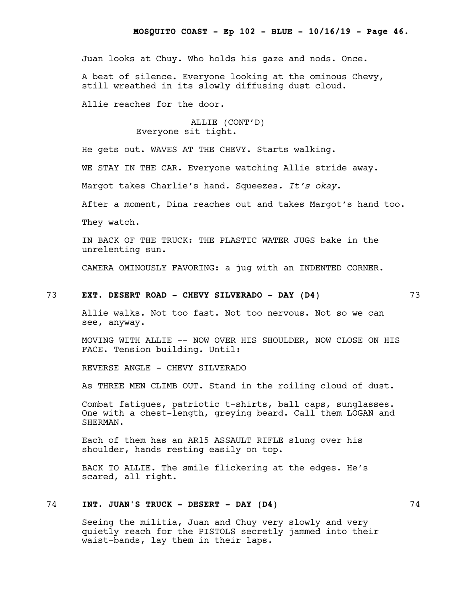Juan looks at Chuy. Who holds his gaze and nods. Once.

A beat of silence. Everyone looking at the ominous Chevy, still wreathed in its slowly diffusing dust cloud.

Allie reaches for the door.

# ALLIE (CONT'D) Everyone sit tight.

He gets out. WAVES AT THE CHEVY. Starts walking.

WE STAY IN THE CAR. Everyone watching Allie stride away.

Margot takes Charlie's hand. Squeezes. *It's okay*.

After a moment, Dina reaches out and takes Margot's hand too.

They watch.

IN BACK OF THE TRUCK: THE PLASTIC WATER JUGS bake in the unrelenting sun.

CAMERA OMINOUSLY FAVORING: a jug with an INDENTED CORNER.

#### 73 **EXT. DESERT ROAD - CHEVY SILVERADO - DAY (D4)** 73

Allie walks. Not too fast. Not too nervous. Not so we can see, anyway.

MOVING WITH ALLIE -- NOW OVER HIS SHOULDER, NOW CLOSE ON HIS FACE. Tension building. Until:

REVERSE ANGLE - CHEVY SILVERADO

As THREE MEN CLIMB OUT. Stand in the roiling cloud of dust.

Combat fatigues, patriotic t-shirts, ball caps, sunglasses. One with a chest-length, greying beard. Call them LOGAN and SHERMAN.

Each of them has an AR15 ASSAULT RIFLE slung over his shoulder, hands resting easily on top.

BACK TO ALLIE. The smile flickering at the edges. He's scared, all right.

# 74 **INT. JUAN'S TRUCK - DESERT - DAY (D4)** 74

Seeing the militia, Juan and Chuy very slowly and very quietly reach for the PISTOLS secretly jammed into their waist-bands, lay them in their laps.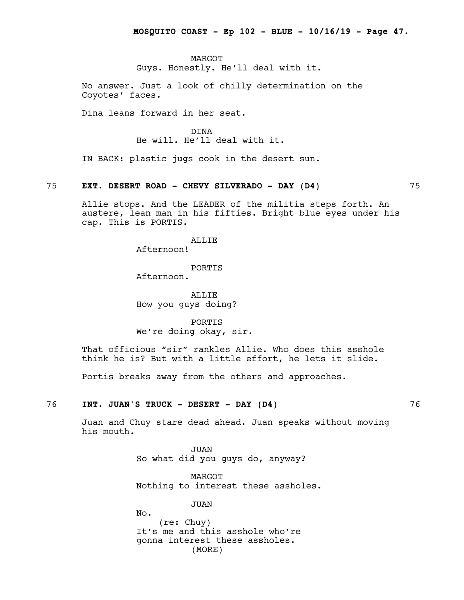MARGOT Guys. Honestly. He'll deal with it.

No answer. Just a look of chilly determination on the Coyotes' faces.

Dina leans forward in her seat.

DINA He will. He'll deal with it.

IN BACK: plastic jugs cook in the desert sun.

#### 75 **EXT. DESERT ROAD - CHEVY SILVERADO - DAY (D4)** 75

Allie stops. And the LEADER of the militia steps forth. An austere, lean man in his fifties. Bright blue eyes under his cap. This is PORTIS.

ALLIE

Afternoon!

PORTIS Afternoon.

ALLIE How you guys doing?

PORTIS We're doing okay, sir.

That officious "sir" rankles Allie. Who does this asshole think he is? But with a little effort, he lets it slide.

Portis breaks away from the others and approaches.

# 76 **INT. JUAN'S TRUCK - DESERT - DAY (D4)** 76

Juan and Chuy stare dead ahead. Juan speaks without moving his mouth.

> JUAN So what did you guys do, anyway?

MARGOT Nothing to interest these assholes.

JUAN

No. (re: Chuy) It's me and this asshole who're gonna interest these assholes. (MORE)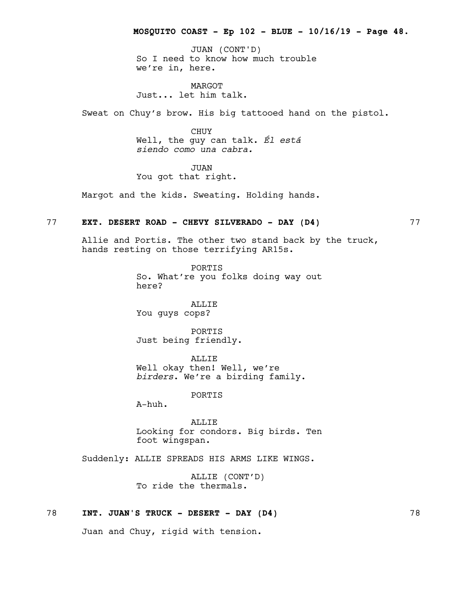So I need to know how much trouble we're in, here. JUAN (CONT'D)

MARGOT Just... let him talk.

Sweat on Chuy's brow. His big tattooed hand on the pistol.

CHUY Well, the guy can talk. *Él está siendo como una cabra.*

JUAN You got that right.

Margot and the kids. Sweating. Holding hands.

# 77 **EXT. DESERT ROAD - CHEVY SILVERADO - DAY (D4)** 77

Allie and Portis. The other two stand back by the truck, hands resting on those terrifying AR15s.

> PORTIS So. What're you folks doing way out here?

ALLIE You guys cops?

PORTIS Just being friendly.

ALLIE Well okay then! Well, we're *birders*. We're a birding family.

PORTIS

A-huh.

ALLIE Looking for condors. Big birds. Ten foot wingspan.

Suddenly: ALLIE SPREADS HIS ARMS LIKE WINGS.

ALLIE (CONT'D) To ride the thermals.

# 78 **INT. JUAN'S TRUCK - DESERT - DAY (D4)** 78

Juan and Chuy, rigid with tension.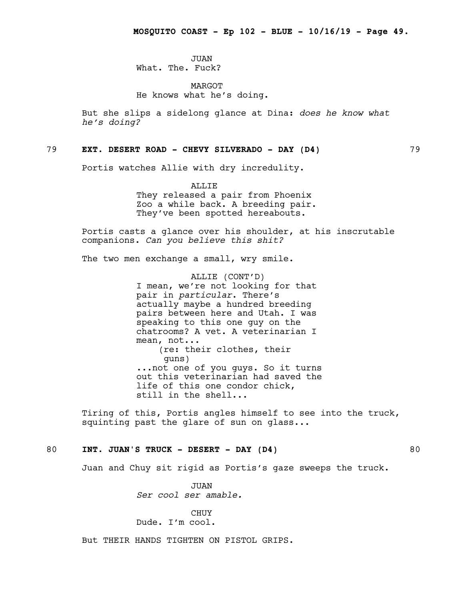JUAN What. The. Fuck?

MARGOT He knows what he's doing.

But she slips a sidelong glance at Dina: *does he know what he's doing?*

# 79 **EXT. DESERT ROAD - CHEVY SILVERADO - DAY (D4)** 79

Portis watches Allie with dry incredulity.

ALLIF.

They released a pair from Phoenix Zoo a while back. A breeding pair. They've been spotted hereabouts.

Portis casts a glance over his shoulder, at his inscrutable companions. *Can you believe this shit?*

The two men exchange a small, wry smile.

ALLIE (CONT'D) I mean, we're not looking for that pair in *particular*. There's actually maybe a hundred breeding pairs between here and Utah. I was speaking to this one guy on the chatrooms? A vet. A veterinarian I mean, not... (re: their clothes, their guns) ...not one of you guys. So it turns out this veterinarian had saved the life of this one condor chick, still in the shell...

Tiring of this, Portis angles himself to see into the truck, squinting past the glare of sun on glass...

# 80 **INT. JUAN'S TRUCK - DESERT - DAY (D4)** 80

Juan and Chuy sit rigid as Portis's gaze sweeps the truck.

JUAN *Ser cool ser amable.*

CHUY Dude. I'm cool.

But THEIR HANDS TIGHTEN ON PISTOL GRIPS.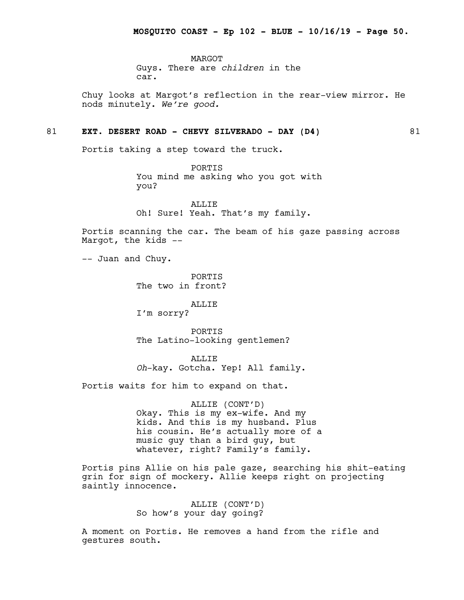MARGOT Guys. There are *children* in the car.

Chuy looks at Margot's reflection in the rear-view mirror. He nods minutely. *We're good.*

# 81 **EXT. DESERT ROAD - CHEVY SILVERADO - DAY (D4)** 81

Portis taking a step toward the truck.

PORTIS You mind me asking who you got with you?

ALLIE Oh! Sure! Yeah. That's my family.

Portis scanning the car. The beam of his gaze passing across Margot, the kids --

-- Juan and Chuy.

**PORTIS** The two in front?

# ALLIE

I'm sorry?

PORTIS The Latino-looking gentlemen?

ALLIE *Oh*-kay. Gotcha. Yep! All family.

Portis waits for him to expand on that.

ALLIE (CONT'D) Okay. This is my ex-wife. And my kids. And this is my husband. Plus his cousin. He's actually more of a music guy than a bird guy, but whatever, right? Family's family.

Portis pins Allie on his pale gaze, searching his shit-eating grin for sign of mockery. Allie keeps right on projecting saintly innocence.

> ALLIE (CONT'D) So how's your day going?

A moment on Portis. He removes a hand from the rifle and gestures south.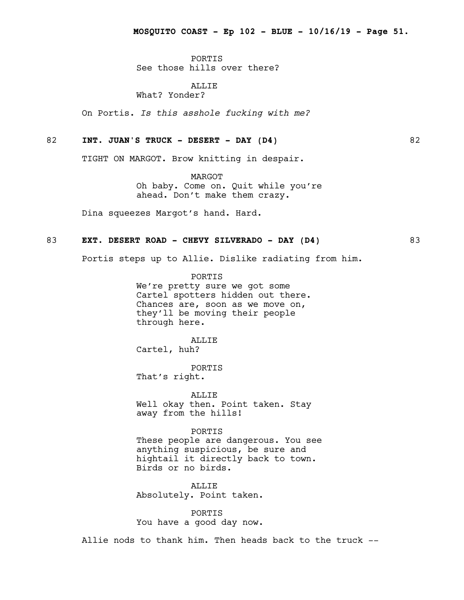**PORTIS** See those hills over there?

ALLIE What? Yonder?

On Portis. *Is this asshole fucking with me?*

#### 82 **INT. JUAN'S TRUCK - DESERT - DAY (D4)** 82

TIGHT ON MARGOT. Brow knitting in despair.

MARGOT Oh baby. Come on. Quit while you're ahead. Don't make them crazy.

Dina squeezes Margot's hand. Hard.

#### 83 **EXT. DESERT ROAD - CHEVY SILVERADO - DAY (D4)** 83

Portis steps up to Allie. Dislike radiating from him.

PORTIS We're pretty sure we got some Cartel spotters hidden out there. Chances are, soon as we move on, they'll be moving their people through here.

#### ALLIE

Cartel, huh?

PORTIS That's right.

ALLIE Well okay then. Point taken. Stay away from the hills!

PORTIS These people are dangerous. You see anything suspicious, be sure and hightail it directly back to town. Birds or no birds.

ALLIE Absolutely. Point taken.

PORTIS You have a good day now.

Allie nods to thank him. Then heads back to the truck --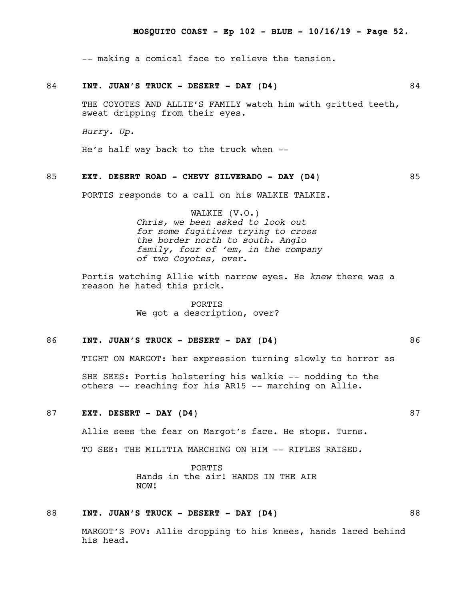-- making a comical face to relieve the tension.

#### 84 **INT. JUAN'S TRUCK - DESERT - DAY (D4)** 84

THE COYOTES AND ALLIE'S FAMILY watch him with gritted teeth, sweat dripping from their eyes.

*Hurry. Up.*

He's half way back to the truck when --

# 85 **EXT. DESERT ROAD - CHEVY SILVERADO - DAY (D4)** 85

PORTIS responds to a call on his WALKIE TALKIE.

WALKIE (V.O.) *Chris, we been asked to look out for some fugitives trying to cross the border north to south. Anglo family, four of 'em, in the company of two Coyotes, over.*

Portis watching Allie with narrow eyes. He *knew* there was a reason he hated this prick.

> PORTIS We got a description, over?

#### 86 **INT. JUAN'S TRUCK - DESERT - DAY (D4)** 86

TIGHT ON MARGOT: her expression turning slowly to horror as

SHE SEES: Portis holstering his walkie -- nodding to the others -- reaching for his AR15 -- marching on Allie.

# 87 **EXT. DESERT - DAY (D4)** 87

Allie sees the fear on Margot's face. He stops. Turns.

TO SEE: THE MILITIA MARCHING ON HIM -- RIFLES RAISED.

PORTIS Hands in the air! HANDS IN THE AIR NOW!

# 88 **INT. JUAN'S TRUCK - DESERT - DAY (D4)** 88

MARGOT'S POV: Allie dropping to his knees, hands laced behind his head.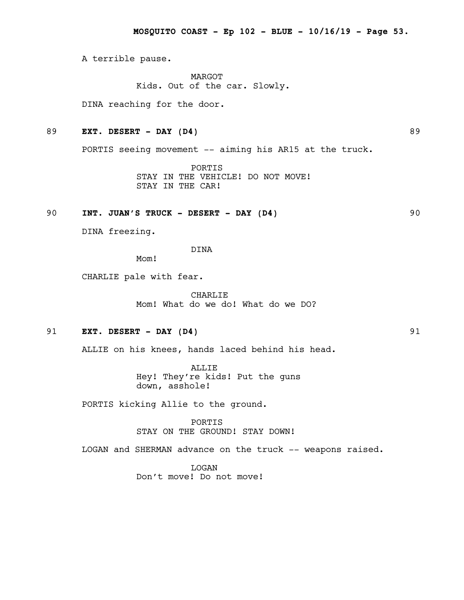A terrible pause.

MARGOT Kids. Out of the car. Slowly.

DINA reaching for the door.

# 89 **EXT. DESERT - DAY (D4)** 89

PORTIS seeing movement -- aiming his AR15 at the truck.

PORTIS STAY IN THE VEHICLE! DO NOT MOVE! STAY IN THE CAR!

# 90 **INT. JUAN'S TRUCK - DESERT - DAY (D4)** 90

DINA freezing.

DINA

Mom!

CHARLIE pale with fear.

CHARLIE Mom! What do we do! What do we DO?

# 91 **EXT. DESERT - DAY (D4)** 91

ALLIE on his knees, hands laced behind his head.

ALLIE Hey! They're kids! Put the guns down, asshole!

PORTIS kicking Allie to the ground.

PORTIS STAY ON THE GROUND! STAY DOWN!

LOGAN and SHERMAN advance on the truck -- weapons raised.

LOGAN Don't move! Do not move!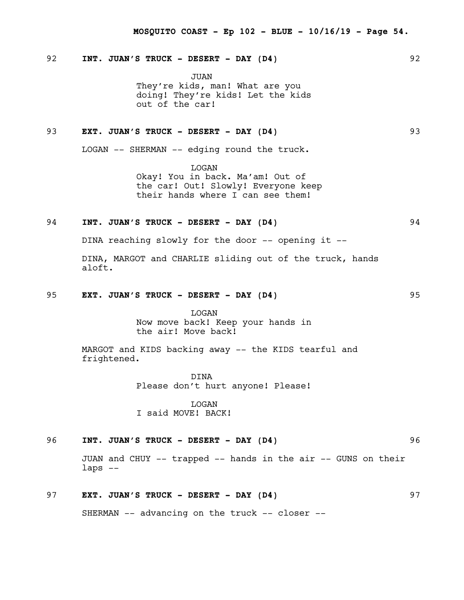# 92 **INT. JUAN'S TRUCK - DESERT - DAY (D4)** 92

JUAN They're kids, man! What are you doing! They're kids! Let the kids out of the car!

# 93 **EXT. JUAN'S TRUCK - DESERT - DAY (D4)** 93

LOGAN -- SHERMAN -- edging round the truck.

LOGAN Okay! You in back. Ma'am! Out of the car! Out! Slowly! Everyone keep their hands where I can see them!

# 94 **INT. JUAN'S TRUCK - DESERT - DAY (D4)** 94

DINA reaching slowly for the door -- opening it --

DINA, MARGOT and CHARLIE sliding out of the truck, hands aloft.

#### 95 **EXT. JUAN'S TRUCK - DESERT - DAY (D4)** 95

LOGAN Now move back! Keep your hands in the air! Move back!

MARGOT and KIDS backing away -- the KIDS tearful and frightened.

> DINA Please don't hurt anyone! Please!

LOGAN I said MOVE! BACK!

# 96 **INT. JUAN'S TRUCK - DESERT - DAY (D4)** 96

JUAN and CHUY -- trapped -- hands in the air -- GUNS on their laps --

# 97 **EXT. JUAN'S TRUCK - DESERT - DAY (D4)** 97

SHERMAN -- advancing on the truck -- closer --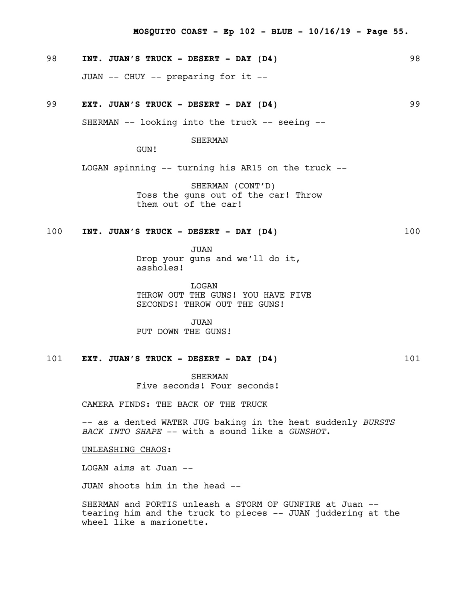# 98 **INT. JUAN'S TRUCK - DESERT - DAY (D4)** 98

JUAN -- CHUY -- preparing for it --

# 99 **EXT. JUAN'S TRUCK - DESERT - DAY (D4)** 99

SHERMAN -- looking into the truck -- seeing --

SHERMAN

GUN!

LOGAN spinning -- turning his AR15 on the truck --

SHERMAN (CONT'D) Toss the guns out of the car! Throw them out of the car!

# 100 **INT. JUAN'S TRUCK - DESERT - DAY (D4)** 100

JUAN Drop your guns and we'll do it, assholes!

LOGAN THROW OUT THE GUNS! YOU HAVE FIVE SECONDS! THROW OUT THE GUNS!

JUAN PUT DOWN THE GUNS!

# 101 **EXT. JUAN'S TRUCK - DESERT - DAY (D4)** 101

SHERMAN Five seconds! Four seconds!

CAMERA FINDS: THE BACK OF THE TRUCK

-- as a dented WATER JUG baking in the heat suddenly *BURSTS BACK INTO SHAPE* -- with a sound like a *GUNSHOT*.

UNLEASHING CHAOS:

LOGAN aims at Juan --

JUAN shoots him in the head --

SHERMAN and PORTIS unleash a STORM OF GUNFIRE at Juan - tearing him and the truck to pieces -- JUAN juddering at the wheel like a marionette.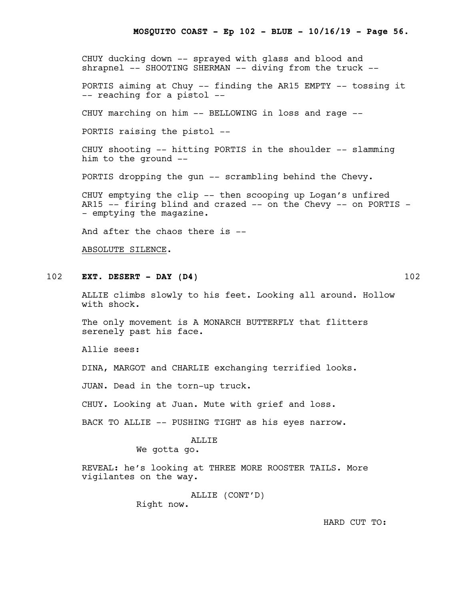CHUY ducking down -- sprayed with glass and blood and shrapnel -- SHOOTING SHERMAN -- diving from the truck --

PORTIS aiming at Chuy -- finding the AR15 EMPTY -- tossing it -- reaching for a pistol --

CHUY marching on him -- BELLOWING in loss and rage --

PORTIS raising the pistol --

CHUY shooting -- hitting PORTIS in the shoulder -- slamming him to the ground --

PORTIS dropping the gun -- scrambling behind the Chevy.

CHUY emptying the clip -- then scooping up Logan's unfired AR15 -- firing blind and crazed -- on the Chevy -- on PORTIS -- emptying the magazine.

And after the chaos there is --

ABSOLUTE SILENCE.

# 102 **EXT. DESERT - DAY (D4)** 102

ALLIE climbs slowly to his feet. Looking all around. Hollow with shock.

The only movement is A MONARCH BUTTERFLY that flitters serenely past his face.

Allie sees:

DINA, MARGOT and CHARLIE exchanging terrified looks.

JUAN. Dead in the torn-up truck.

CHUY. Looking at Juan. Mute with grief and loss.

BACK TO ALLIE -- PUSHING TIGHT as his eyes narrow.

#### ALLIE

We gotta go.

REVEAL: he's looking at THREE MORE ROOSTER TAILS. More vigilantes on the way.

> ALLIE (CONT'D) Right now.

> > HARD CUT TO: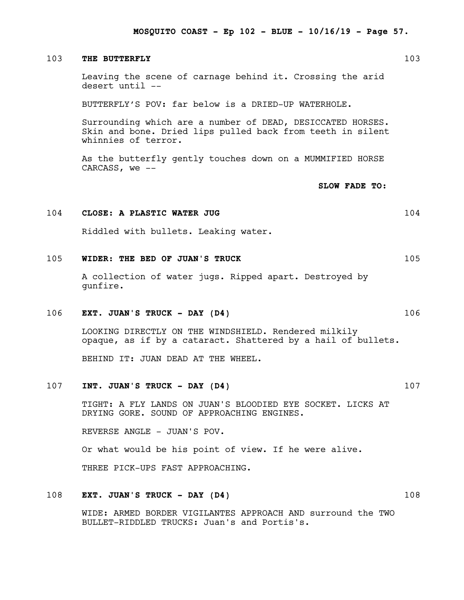#### 103 **THE BUTTERFLY** 103

Leaving the scene of carnage behind it. Crossing the arid desert until --

BUTTERFLY'S POV: far below is a DRIED-UP WATERHOLE.

Surrounding which are a number of DEAD, DESICCATED HORSES. Skin and bone. Dried lips pulled back from teeth in silent whinnies of terror.

As the butterfly gently touches down on a MUMMIFIED HORSE CARCASS, we --

**SLOW FADE TO:**

#### 104 **CLOSE: A PLASTIC WATER JUG** 104

Riddled with bullets. Leaking water.

#### 105 **WIDER: THE BED OF JUAN'S TRUCK** 105

A collection of water jugs. Ripped apart. Destroyed by gunfire.

#### 106 **EXT. JUAN'S TRUCK - DAY (D4)** 106

LOOKING DIRECTLY ON THE WINDSHIELD. Rendered milkily opaque, as if by a cataract. Shattered by a hail of bullets.

BEHIND IT: JUAN DEAD AT THE WHEEL.

#### 107 **INT. JUAN'S TRUCK - DAY (D4)** 107

TIGHT: A FLY LANDS ON JUAN'S BLOODIED EYE SOCKET. LICKS AT DRYING GORE. SOUND OF APPROACHING ENGINES.

REVERSE ANGLE - JUAN'S POV.

Or what would be his point of view. If he were alive.

THREE PICK-UPS FAST APPROACHING.

#### 108 **EXT. JUAN'S TRUCK - DAY (D4)** 108

WIDE: ARMED BORDER VIGILANTES APPROACH AND surround the TWO BULLET-RIDDLED TRUCKS: Juan's and Portis's.